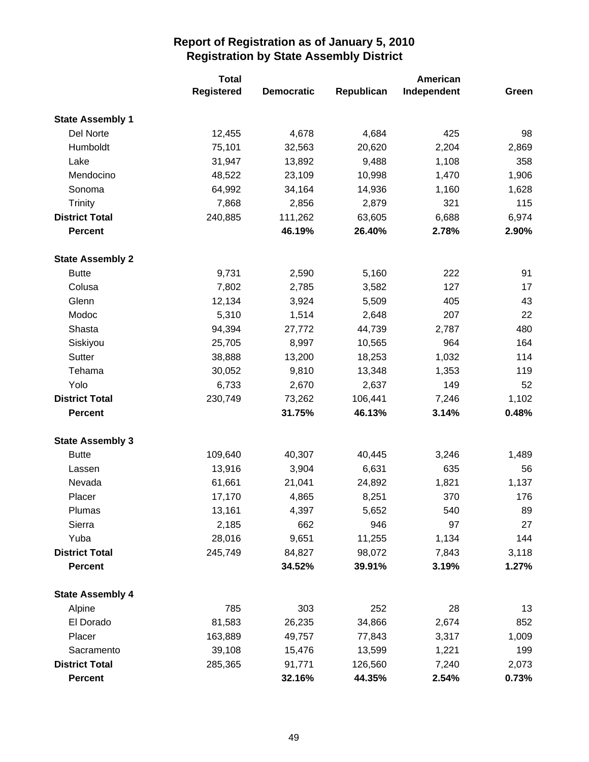|                         | <b>Total</b>      |                   |            | American    |       |  |
|-------------------------|-------------------|-------------------|------------|-------------|-------|--|
|                         | <b>Registered</b> | <b>Democratic</b> | Republican | Independent | Green |  |
| <b>State Assembly 1</b> |                   |                   |            |             |       |  |
| Del Norte               | 12,455            | 4,678             | 4,684      | 425         | 98    |  |
| Humboldt                | 75,101            | 32,563            | 20,620     | 2,204       | 2,869 |  |
| Lake                    | 31,947            | 13,892            | 9,488      | 1,108       | 358   |  |
| Mendocino               | 48,522            | 23,109            | 10,998     | 1,470       | 1,906 |  |
| Sonoma                  | 64,992            | 34,164            | 14,936     | 1,160       | 1,628 |  |
| <b>Trinity</b>          | 7,868             | 2,856             | 2,879      | 321         | 115   |  |
| <b>District Total</b>   | 240,885           | 111,262           | 63,605     | 6,688       | 6,974 |  |
| <b>Percent</b>          |                   | 46.19%            | 26.40%     | 2.78%       | 2.90% |  |
| <b>State Assembly 2</b> |                   |                   |            |             |       |  |
| <b>Butte</b>            | 9,731             | 2,590             | 5,160      | 222         | 91    |  |
| Colusa                  | 7,802             | 2,785             | 3,582      | 127         | 17    |  |
| Glenn                   | 12,134            | 3,924             | 5,509      | 405         | 43    |  |
| Modoc                   | 5,310             | 1,514             | 2,648      | 207         | 22    |  |
| Shasta                  | 94,394            | 27,772            | 44,739     | 2,787       | 480   |  |
| Siskiyou                | 25,705            | 8,997             | 10,565     | 964         | 164   |  |
| Sutter                  | 38,888            | 13,200            | 18,253     | 1,032       | 114   |  |
| Tehama                  | 30,052            | 9,810             | 13,348     | 1,353       | 119   |  |
| Yolo                    | 6,733             | 2,670             | 2,637      | 149         | 52    |  |
| <b>District Total</b>   | 230,749           | 73,262            | 106,441    | 7,246       | 1,102 |  |
| <b>Percent</b>          |                   | 31.75%            | 46.13%     | 3.14%       | 0.48% |  |
| <b>State Assembly 3</b> |                   |                   |            |             |       |  |
| <b>Butte</b>            | 109,640           | 40,307            | 40,445     | 3,246       | 1,489 |  |
| Lassen                  | 13,916            | 3,904             | 6,631      | 635         | 56    |  |
| Nevada                  | 61,661            | 21,041            | 24,892     | 1,821       | 1,137 |  |
| Placer                  | 17,170            | 4,865             | 8,251      | 370         | 176   |  |
| Plumas                  | 13,161            | 4,397             | 5,652      | 540         | 89    |  |
| Sierra                  | 2,185             | 662               | 946        | 97          | 27    |  |
| Yuba                    | 28,016            | 9,651             | 11,255     | 1,134       | 144   |  |
| <b>District Total</b>   | 245,749           | 84,827            | 98,072     | 7,843       | 3,118 |  |
| <b>Percent</b>          |                   | 34.52%            | 39.91%     | 3.19%       | 1.27% |  |
| <b>State Assembly 4</b> |                   |                   |            |             |       |  |
| Alpine                  | 785               | 303               | 252        | 28          | 13    |  |
| El Dorado               | 81,583            | 26,235            | 34,866     | 2,674       | 852   |  |
| Placer                  | 163,889           | 49,757            | 77,843     | 3,317       | 1,009 |  |
| Sacramento              | 39,108            | 15,476            | 13,599     | 1,221       | 199   |  |
| <b>District Total</b>   | 285,365           | 91,771            | 126,560    | 7,240       | 2,073 |  |
| <b>Percent</b>          |                   | 32.16%            | 44.35%     | 2.54%       | 0.73% |  |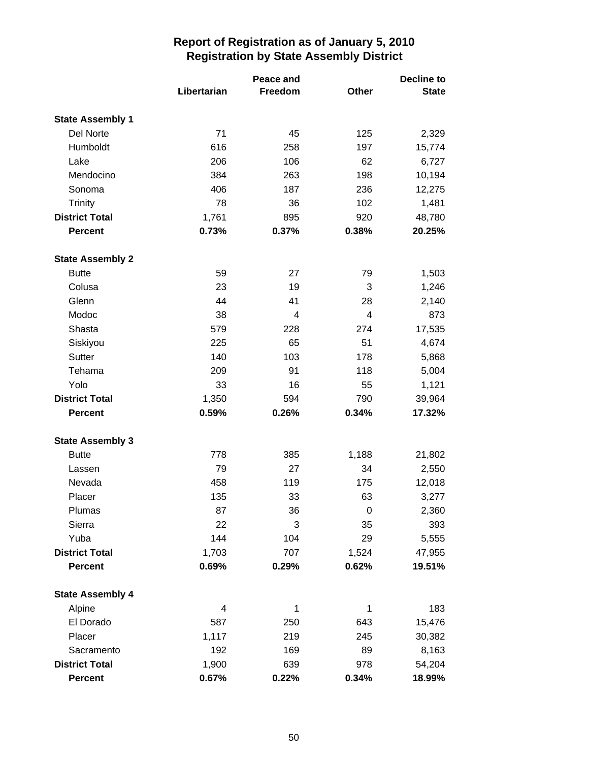|                                  | Libertarian    | Peace and<br>Freedom | <b>Other</b> | <b>Decline to</b><br><b>State</b> |
|----------------------------------|----------------|----------------------|--------------|-----------------------------------|
| <b>State Assembly 1</b>          |                |                      |              |                                   |
| Del Norte                        | 71             | 45                   | 125          | 2,329                             |
| Humboldt                         | 616            | 258                  | 197          | 15,774                            |
| Lake                             | 206            | 106                  | 62           | 6,727                             |
| Mendocino                        | 384            | 263                  | 198          | 10,194                            |
| Sonoma                           | 406            | 187                  | 236          | 12,275                            |
| <b>Trinity</b>                   | 78             | 36                   | 102          | 1,481                             |
| <b>District Total</b>            | 1,761          | 895                  | 920          | 48,780                            |
| <b>Percent</b>                   | 0.73%          | 0.37%                | 0.38%        | 20.25%                            |
| <b>State Assembly 2</b>          |                |                      |              |                                   |
| <b>Butte</b>                     | 59             | 27                   | 79           | 1,503                             |
| Colusa                           | 23             | 19                   | 3            | 1,246                             |
| Glenn                            | 44             | 41                   | 28           | 2,140                             |
| Modoc                            | 38             | 4                    | 4            | 873                               |
| Shasta                           | 579            | 228                  | 274          | 17,535                            |
| Siskiyou                         | 225            | 65                   | 51           | 4,674                             |
| Sutter                           | 140            | 103                  | 178          | 5,868                             |
| Tehama                           | 209            | 91                   | 118          | 5,004                             |
| Yolo                             | 33             | 16                   | 55           | 1,121                             |
| <b>District Total</b>            | 1,350          | 594                  | 790          | 39,964                            |
| <b>Percent</b>                   | 0.59%          | 0.26%                | 0.34%        | 17.32%                            |
| <b>State Assembly 3</b>          |                |                      |              |                                   |
| <b>Butte</b>                     | 778            | 385                  | 1,188        | 21,802                            |
| Lassen                           | 79             | 27                   | 34           | 2,550                             |
| Nevada                           | 458            | 119                  | 175          | 12,018                            |
| Placer                           | 135            | 33                   | 63           | 3,277                             |
| Plumas                           | 87             | 36                   | $\pmb{0}$    | 2,360                             |
| Sierra                           | 22             | 3                    | 35           | 393                               |
| Yuba                             | 144            | 104                  | 29           | 5,555                             |
| <b>District Total</b>            | 1,703          | 707                  | 1,524        | 47,955                            |
| <b>Percent</b>                   | 0.69%          | 0.29%                | 0.62%        | 19.51%                            |
| <b>State Assembly 4</b>          |                |                      |              |                                   |
| Alpine                           | 4              | 1                    | 1            | 183                               |
| El Dorado                        | 587            | 250                  | 643          | 15,476                            |
| Placer                           | 1,117          | 219                  | 245          | 30,382                            |
| Sacramento                       | 192            | 169                  | 89           | 8,163                             |
| <b>District Total</b><br>Percent | 1,900<br>0.67% | 639<br>0.22%         | 978<br>0.34% | 54,204<br>18.99%                  |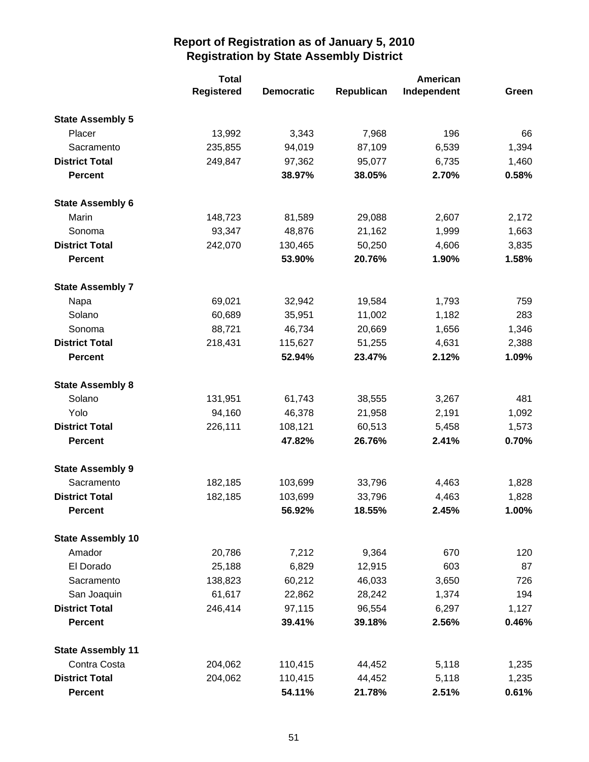|                          | <b>Total</b>      |                   |            | American    |       |  |
|--------------------------|-------------------|-------------------|------------|-------------|-------|--|
|                          | <b>Registered</b> | <b>Democratic</b> | Republican | Independent | Green |  |
| <b>State Assembly 5</b>  |                   |                   |            |             |       |  |
| Placer                   | 13,992            | 3,343             | 7,968      | 196         | 66    |  |
| Sacramento               | 235,855           | 94,019            | 87,109     | 6,539       | 1,394 |  |
| <b>District Total</b>    | 249,847           | 97,362            | 95,077     | 6,735       | 1,460 |  |
| <b>Percent</b>           |                   | 38.97%            | 38.05%     | 2.70%       | 0.58% |  |
| <b>State Assembly 6</b>  |                   |                   |            |             |       |  |
| Marin                    | 148,723           | 81,589            | 29,088     | 2,607       | 2,172 |  |
| Sonoma                   | 93,347            | 48,876            | 21,162     | 1,999       | 1,663 |  |
| <b>District Total</b>    | 242,070           | 130,465           | 50,250     | 4,606       | 3,835 |  |
| <b>Percent</b>           |                   | 53.90%            | 20.76%     | 1.90%       | 1.58% |  |
| <b>State Assembly 7</b>  |                   |                   |            |             |       |  |
| Napa                     | 69,021            | 32,942            | 19,584     | 1,793       | 759   |  |
| Solano                   | 60,689            | 35,951            | 11,002     | 1,182       | 283   |  |
| Sonoma                   | 88,721            | 46,734            | 20,669     | 1,656       | 1,346 |  |
| <b>District Total</b>    | 218,431           | 115,627           | 51,255     | 4,631       | 2,388 |  |
| <b>Percent</b>           |                   | 52.94%            | 23.47%     | 2.12%       | 1.09% |  |
| <b>State Assembly 8</b>  |                   |                   |            |             |       |  |
| Solano                   | 131,951           | 61,743            | 38,555     | 3,267       | 481   |  |
| Yolo                     | 94,160            | 46,378            | 21,958     | 2,191       | 1,092 |  |
| <b>District Total</b>    | 226,111           | 108,121           | 60,513     | 5,458       | 1,573 |  |
| <b>Percent</b>           |                   | 47.82%            | 26.76%     | 2.41%       | 0.70% |  |
| <b>State Assembly 9</b>  |                   |                   |            |             |       |  |
| Sacramento               | 182,185           | 103,699           | 33,796     | 4,463       | 1,828 |  |
| <b>District Total</b>    | 182,185           | 103,699           | 33,796     | 4,463       | 1,828 |  |
| <b>Percent</b>           |                   | 56.92%            | 18.55%     | 2.45%       | 1.00% |  |
| <b>State Assembly 10</b> |                   |                   |            |             |       |  |
| Amador                   | 20,786            | 7,212             | 9,364      | 670         | 120   |  |
| El Dorado                | 25,188            | 6,829             | 12,915     | 603         | 87    |  |
| Sacramento               | 138,823           | 60,212            | 46,033     | 3,650       | 726   |  |
| San Joaquin              | 61,617            | 22,862            | 28,242     | 1,374       | 194   |  |
| <b>District Total</b>    | 246,414           | 97,115            | 96,554     | 6,297       | 1,127 |  |
| <b>Percent</b>           |                   | 39.41%            | 39.18%     | 2.56%       | 0.46% |  |
| <b>State Assembly 11</b> |                   |                   |            |             |       |  |
| Contra Costa             | 204,062           | 110,415           | 44,452     | 5,118       | 1,235 |  |
| <b>District Total</b>    | 204,062           | 110,415           | 44,452     | 5,118       | 1,235 |  |
| <b>Percent</b>           |                   | 54.11%            | 21.78%     | 2.51%       | 0.61% |  |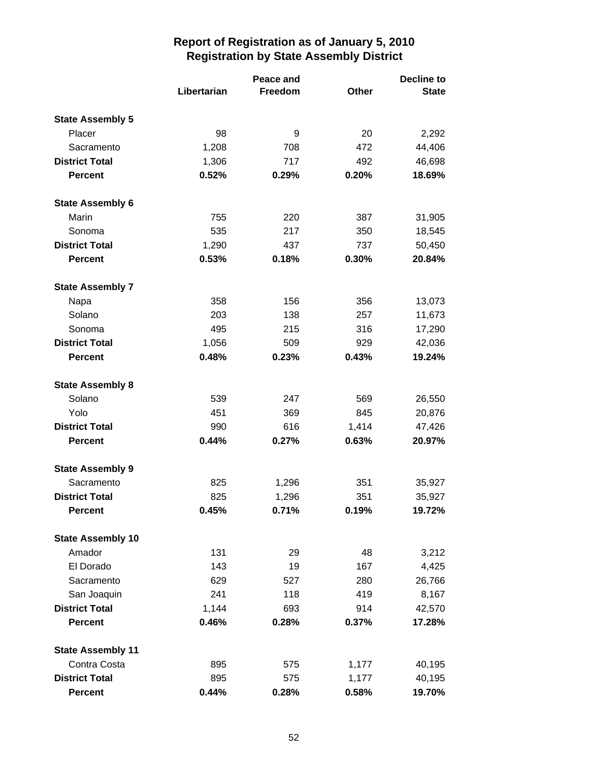|                          |             | Peace and |       | <b>Decline to</b> |  |
|--------------------------|-------------|-----------|-------|-------------------|--|
|                          | Libertarian | Freedom   | Other | <b>State</b>      |  |
| <b>State Assembly 5</b>  |             |           |       |                   |  |
| Placer                   | 98          | 9         | 20    | 2,292             |  |
| Sacramento               | 1,208       | 708       | 472   | 44,406            |  |
| <b>District Total</b>    | 1,306       | 717       | 492   | 46,698            |  |
| <b>Percent</b>           | 0.52%       | 0.29%     | 0.20% | 18.69%            |  |
| <b>State Assembly 6</b>  |             |           |       |                   |  |
| Marin                    | 755         | 220       | 387   | 31,905            |  |
| Sonoma                   | 535         | 217       | 350   | 18,545            |  |
| <b>District Total</b>    | 1,290       | 437       | 737   | 50,450            |  |
| <b>Percent</b>           | 0.53%       | 0.18%     | 0.30% | 20.84%            |  |
| <b>State Assembly 7</b>  |             |           |       |                   |  |
| Napa                     | 358         | 156       | 356   | 13,073            |  |
| Solano                   | 203         | 138       | 257   | 11,673            |  |
| Sonoma                   | 495         | 215       | 316   | 17,290            |  |
| <b>District Total</b>    | 1,056       | 509       | 929   | 42,036            |  |
| <b>Percent</b>           | 0.48%       | 0.23%     | 0.43% | 19.24%            |  |
| <b>State Assembly 8</b>  |             |           |       |                   |  |
| Solano                   | 539         | 247       | 569   | 26,550            |  |
| Yolo                     | 451         | 369       | 845   | 20,876            |  |
| <b>District Total</b>    | 990         | 616       | 1,414 | 47,426            |  |
| <b>Percent</b>           | 0.44%       | 0.27%     | 0.63% | 20.97%            |  |
| <b>State Assembly 9</b>  |             |           |       |                   |  |
| Sacramento               | 825         | 1,296     | 351   | 35,927            |  |
| <b>District Total</b>    | 825         | 1,296     | 351   | 35,927            |  |
| <b>Percent</b>           | 0.45%       | 0.71%     | 0.19% | 19.72%            |  |
| <b>State Assembly 10</b> |             |           |       |                   |  |
| Amador                   | 131         | 29        | 48    | 3,212             |  |
| El Dorado                | 143         | 19        | 167   | 4,425             |  |
| Sacramento               | 629         | 527       | 280   | 26,766            |  |
| San Joaquin              | 241         | 118       | 419   | 8,167             |  |
| <b>District Total</b>    | 1,144       | 693       | 914   | 42,570            |  |
| <b>Percent</b>           | 0.46%       | 0.28%     | 0.37% | 17.28%            |  |
| <b>State Assembly 11</b> |             |           |       |                   |  |
| Contra Costa             | 895         | 575       | 1,177 | 40,195            |  |
| <b>District Total</b>    | 895         | 575       | 1,177 | 40,195            |  |
| <b>Percent</b>           | 0.44%       | 0.28%     | 0.58% | 19.70%            |  |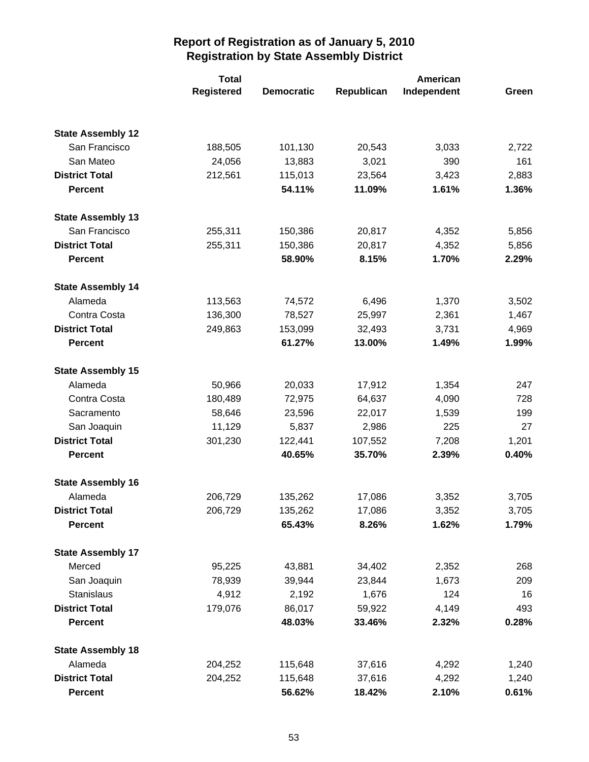|                          | <b>Total</b> |                   |            | American    |       |
|--------------------------|--------------|-------------------|------------|-------------|-------|
|                          | Registered   | <b>Democratic</b> | Republican | Independent | Green |
|                          |              |                   |            |             |       |
| <b>State Assembly 12</b> |              |                   |            |             |       |
| San Francisco            | 188,505      | 101,130           | 20,543     | 3,033       | 2,722 |
| San Mateo                | 24,056       | 13,883            | 3,021      | 390         | 161   |
| <b>District Total</b>    | 212,561      | 115,013           | 23,564     | 3,423       | 2,883 |
| <b>Percent</b>           |              | 54.11%            | 11.09%     | 1.61%       | 1.36% |
| <b>State Assembly 13</b> |              |                   |            |             |       |
| San Francisco            | 255,311      | 150,386           | 20,817     | 4,352       | 5,856 |
| <b>District Total</b>    | 255,311      | 150,386           | 20,817     | 4,352       | 5,856 |
| <b>Percent</b>           |              | 58.90%            | 8.15%      | 1.70%       | 2.29% |
| <b>State Assembly 14</b> |              |                   |            |             |       |
| Alameda                  | 113,563      | 74,572            | 6,496      | 1,370       | 3,502 |
| Contra Costa             | 136,300      | 78,527            | 25,997     | 2,361       | 1,467 |
| <b>District Total</b>    | 249,863      | 153,099           | 32,493     | 3,731       | 4,969 |
| <b>Percent</b>           |              | 61.27%            | 13.00%     | 1.49%       | 1.99% |
| <b>State Assembly 15</b> |              |                   |            |             |       |
| Alameda                  | 50,966       | 20,033            | 17,912     | 1,354       | 247   |
| Contra Costa             | 180,489      | 72,975            | 64,637     | 4,090       | 728   |
| Sacramento               | 58,646       | 23,596            | 22,017     | 1,539       | 199   |
| San Joaquin              | 11,129       | 5,837             | 2,986      | 225         | 27    |
| <b>District Total</b>    | 301,230      | 122,441           | 107,552    | 7,208       | 1,201 |
| <b>Percent</b>           |              | 40.65%            | 35.70%     | 2.39%       | 0.40% |
| <b>State Assembly 16</b> |              |                   |            |             |       |
| Alameda                  | 206,729      | 135,262           | 17,086     | 3,352       | 3,705 |
| <b>District Total</b>    | 206,729      | 135,262           | 17,086     | 3,352       | 3,705 |
| <b>Percent</b>           |              | 65.43%            | 8.26%      | 1.62%       | 1.79% |
| <b>State Assembly 17</b> |              |                   |            |             |       |
| Merced                   | 95,225       | 43,881            | 34,402     | 2,352       | 268   |
| San Joaquin              | 78,939       | 39,944            | 23,844     | 1,673       | 209   |
| <b>Stanislaus</b>        | 4,912        | 2,192             | 1,676      | 124         | 16    |
| <b>District Total</b>    | 179,076      | 86,017            | 59,922     | 4,149       | 493   |
| <b>Percent</b>           |              | 48.03%            | 33.46%     | 2.32%       | 0.28% |
| <b>State Assembly 18</b> |              |                   |            |             |       |
| Alameda                  | 204,252      | 115,648           | 37,616     | 4,292       | 1,240 |
| <b>District Total</b>    | 204,252      | 115,648           | 37,616     | 4,292       | 1,240 |
| <b>Percent</b>           |              | 56.62%            | 18.42%     | 2.10%       | 0.61% |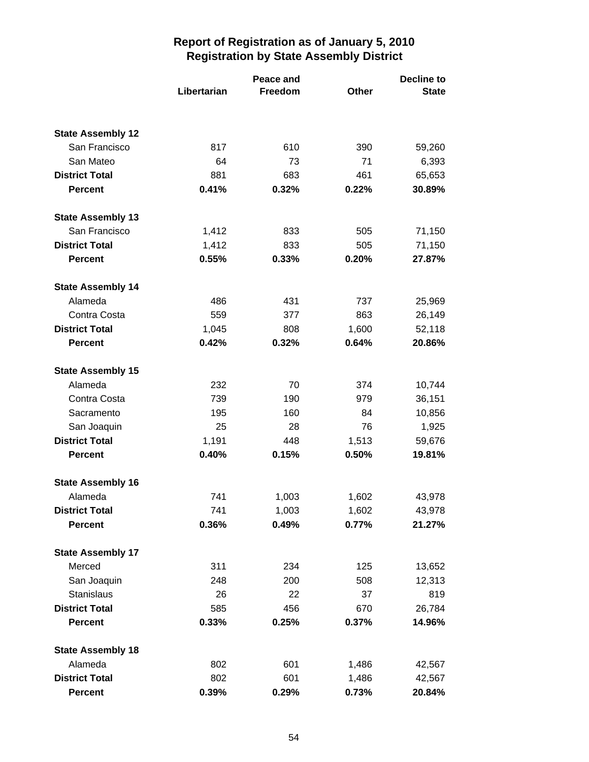|                          | Libertarian | Peace and<br>Freedom | <b>Decline to</b><br>Other<br><b>State</b> |        |  |
|--------------------------|-------------|----------------------|--------------------------------------------|--------|--|
|                          |             |                      |                                            |        |  |
| <b>State Assembly 12</b> |             |                      |                                            |        |  |
| San Francisco            | 817         | 610                  | 390                                        | 59,260 |  |
| San Mateo                | 64          | 73                   | 71                                         | 6,393  |  |
| <b>District Total</b>    | 881         | 683                  | 461                                        | 65,653 |  |
| <b>Percent</b>           | 0.41%       | 0.32%                | 0.22%                                      | 30.89% |  |
| <b>State Assembly 13</b> |             |                      |                                            |        |  |
| San Francisco            | 1,412       | 833                  | 505                                        | 71,150 |  |
| <b>District Total</b>    | 1,412       | 833                  | 505                                        | 71,150 |  |
| <b>Percent</b>           | 0.55%       | 0.33%                | 0.20%                                      | 27.87% |  |
| <b>State Assembly 14</b> |             |                      |                                            |        |  |
| Alameda                  | 486         | 431                  | 737                                        | 25,969 |  |
| Contra Costa             | 559         | 377                  | 863                                        | 26,149 |  |
| <b>District Total</b>    | 1,045       | 808                  | 1,600                                      | 52,118 |  |
| <b>Percent</b>           | 0.42%       | 0.32%                | 0.64%                                      | 20.86% |  |
| <b>State Assembly 15</b> |             |                      |                                            |        |  |
| Alameda                  | 232         | 70                   | 374                                        | 10,744 |  |
| Contra Costa             | 739         | 190                  | 979                                        | 36,151 |  |
| Sacramento               | 195         | 160                  | 84                                         | 10,856 |  |
| San Joaquin              | 25          | 28                   | 76                                         | 1,925  |  |
| <b>District Total</b>    | 1,191       | 448                  | 1,513                                      | 59,676 |  |
| <b>Percent</b>           | 0.40%       | 0.15%                | 0.50%                                      | 19.81% |  |
| <b>State Assembly 16</b> |             |                      |                                            |        |  |
| Alameda                  | 741         | 1,003                | 1,602                                      | 43,978 |  |
| <b>District Total</b>    | 741         | 1,003                | 1,602                                      | 43,978 |  |
| <b>Percent</b>           | 0.36%       | 0.49%                | 0.77%                                      | 21.27% |  |
| <b>State Assembly 17</b> |             |                      |                                            |        |  |
| Merced                   | 311         | 234                  | 125                                        | 13,652 |  |
| San Joaquin              | 248         | 200                  | 508                                        | 12,313 |  |
| <b>Stanislaus</b>        | 26          | 22                   | 37                                         | 819    |  |
| <b>District Total</b>    | 585         | 456                  | 670                                        | 26,784 |  |
| <b>Percent</b>           | 0.33%       | 0.25%                | 0.37%                                      | 14.96% |  |
| <b>State Assembly 18</b> |             |                      |                                            |        |  |
| Alameda                  | 802         | 601                  | 1,486                                      | 42,567 |  |
| <b>District Total</b>    | 802         | 601                  | 1,486                                      | 42,567 |  |
| Percent                  | 0.39%       | 0.29%                | 0.73%                                      | 20.84% |  |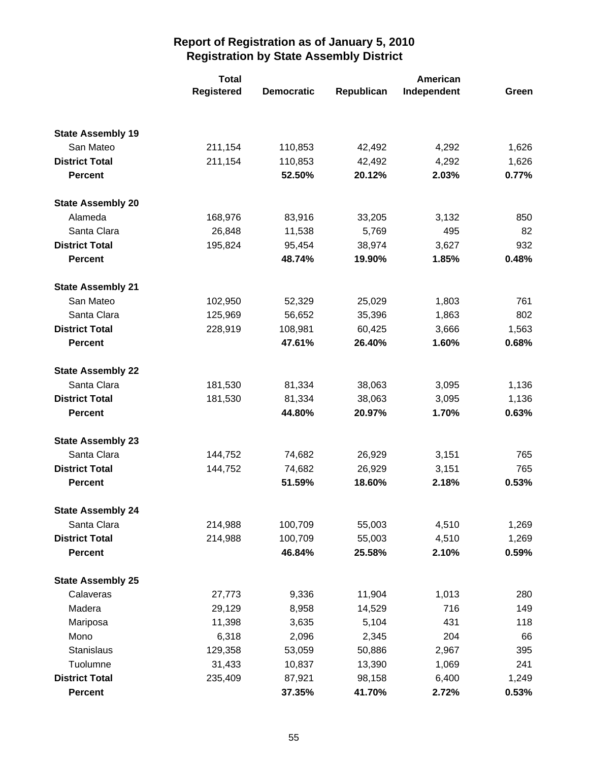|                          | <b>Total</b>      |                   |            | American    |       |
|--------------------------|-------------------|-------------------|------------|-------------|-------|
|                          | <b>Registered</b> | <b>Democratic</b> | Republican | Independent | Green |
|                          |                   |                   |            |             |       |
| <b>State Assembly 19</b> |                   |                   |            |             |       |
| San Mateo                | 211,154           | 110,853           | 42,492     | 4,292       | 1,626 |
| <b>District Total</b>    | 211,154           | 110,853           | 42,492     | 4,292       | 1,626 |
| <b>Percent</b>           |                   | 52.50%            | 20.12%     | 2.03%       | 0.77% |
| <b>State Assembly 20</b> |                   |                   |            |             |       |
| Alameda                  | 168,976           | 83,916            | 33,205     | 3,132       | 850   |
| Santa Clara              | 26,848            | 11,538            | 5,769      | 495         | 82    |
| <b>District Total</b>    | 195,824           | 95,454            | 38,974     | 3,627       | 932   |
| <b>Percent</b>           |                   | 48.74%            | 19.90%     | 1.85%       | 0.48% |
| <b>State Assembly 21</b> |                   |                   |            |             |       |
| San Mateo                | 102,950           | 52,329            | 25,029     | 1,803       | 761   |
| Santa Clara              | 125,969           | 56,652            | 35,396     | 1,863       | 802   |
| <b>District Total</b>    | 228,919           | 108,981           | 60,425     | 3,666       | 1,563 |
| <b>Percent</b>           |                   | 47.61%            | 26.40%     | 1.60%       | 0.68% |
| <b>State Assembly 22</b> |                   |                   |            |             |       |
| Santa Clara              | 181,530           | 81,334            | 38,063     | 3,095       | 1,136 |
| <b>District Total</b>    | 181,530           | 81,334            | 38,063     | 3,095       | 1,136 |
| <b>Percent</b>           |                   | 44.80%            | 20.97%     | 1.70%       | 0.63% |
| <b>State Assembly 23</b> |                   |                   |            |             |       |
| Santa Clara              | 144,752           | 74,682            | 26,929     | 3,151       | 765   |
| <b>District Total</b>    | 144,752           | 74,682            | 26,929     | 3,151       | 765   |
| <b>Percent</b>           |                   | 51.59%            | 18.60%     | 2.18%       | 0.53% |
| <b>State Assembly 24</b> |                   |                   |            |             |       |
| Santa Clara              | 214,988           | 100,709           | 55,003     | 4,510       | 1,269 |
| <b>District Total</b>    | 214,988           | 100,709           | 55,003     | 4,510       | 1,269 |
| <b>Percent</b>           |                   | 46.84%            | 25.58%     | 2.10%       | 0.59% |
| <b>State Assembly 25</b> |                   |                   |            |             |       |
| Calaveras                | 27,773            | 9,336             | 11,904     | 1,013       | 280   |
| Madera                   | 29,129            | 8,958             | 14,529     | 716         | 149   |
| Mariposa                 | 11,398            | 3,635             | 5,104      | 431         | 118   |
| Mono                     | 6,318             | 2,096             | 2,345      | 204         | 66    |
| Stanislaus               | 129,358           | 53,059            | 50,886     | 2,967       | 395   |
| Tuolumne                 | 31,433            | 10,837            | 13,390     | 1,069       | 241   |
| <b>District Total</b>    | 235,409           | 87,921            | 98,158     | 6,400       | 1,249 |
| <b>Percent</b>           |                   | 37.35%            | 41.70%     | 2.72%       | 0.53% |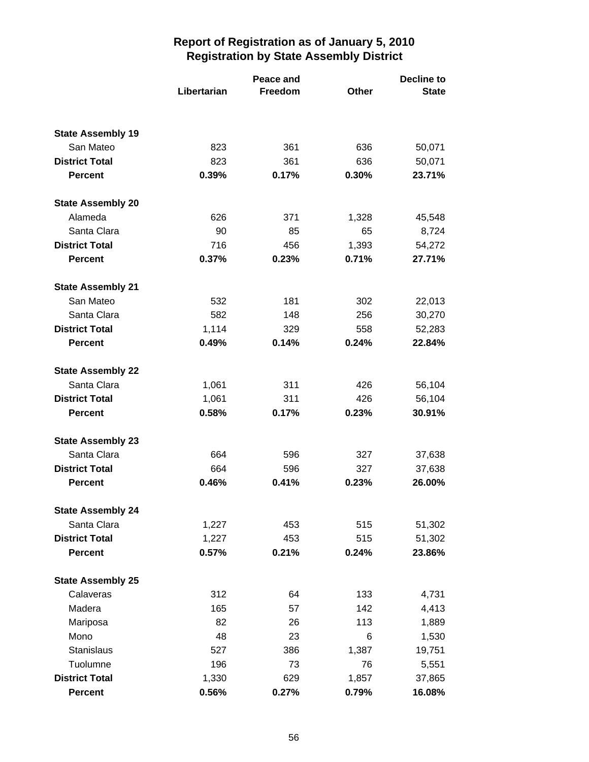|                          |             | Peace and | <b>Decline to</b> |              |  |
|--------------------------|-------------|-----------|-------------------|--------------|--|
|                          | Libertarian | Freedom   | Other             | <b>State</b> |  |
|                          |             |           |                   |              |  |
| <b>State Assembly 19</b> |             |           |                   |              |  |
| San Mateo                | 823         | 361       | 636               | 50,071       |  |
| <b>District Total</b>    | 823         | 361       | 636               | 50,071       |  |
| <b>Percent</b>           | 0.39%       | 0.17%     | 0.30%             | 23.71%       |  |
| <b>State Assembly 20</b> |             |           |                   |              |  |
| Alameda                  | 626         | 371       | 1,328             | 45,548       |  |
| Santa Clara              | 90          | 85        | 65                | 8,724        |  |
| <b>District Total</b>    | 716         | 456       | 1,393             | 54,272       |  |
| <b>Percent</b>           | 0.37%       | 0.23%     | 0.71%             | 27.71%       |  |
| <b>State Assembly 21</b> |             |           |                   |              |  |
| San Mateo                | 532         | 181       | 302               | 22,013       |  |
| Santa Clara              | 582         | 148       | 256               | 30,270       |  |
| <b>District Total</b>    | 1,114       | 329       | 558               | 52,283       |  |
| <b>Percent</b>           | 0.49%       | 0.14%     | 0.24%             | 22.84%       |  |
| <b>State Assembly 22</b> |             |           |                   |              |  |
| Santa Clara              | 1,061       | 311       | 426               | 56,104       |  |
| <b>District Total</b>    | 1,061       | 311       | 426               | 56,104       |  |
| <b>Percent</b>           | 0.58%       | 0.17%     | 0.23%             | 30.91%       |  |
| <b>State Assembly 23</b> |             |           |                   |              |  |
| Santa Clara              | 664         | 596       | 327               | 37,638       |  |
| <b>District Total</b>    | 664         | 596       | 327               | 37,638       |  |
| <b>Percent</b>           | 0.46%       | 0.41%     | 0.23%             | 26.00%       |  |
| <b>State Assembly 24</b> |             |           |                   |              |  |
| Santa Clara              | 1,227       | 453       | 515               | 51,302       |  |
| <b>District Total</b>    | 1,227       | 453       | 515               | 51,302       |  |
| <b>Percent</b>           | 0.57%       | 0.21%     | 0.24%             | 23.86%       |  |
| <b>State Assembly 25</b> |             |           |                   |              |  |
| Calaveras                | 312         | 64        | 133               | 4,731        |  |
| Madera                   | 165         | 57        | 142               | 4,413        |  |
| Mariposa                 | 82          | 26        | 113               | 1,889        |  |
| Mono                     | 48          | 23        | 6                 | 1,530        |  |
| Stanislaus               | 527         | 386       | 1,387             | 19,751       |  |
| Tuolumne                 | 196         | 73        | 76                | 5,551        |  |
| <b>District Total</b>    | 1,330       | 629       | 1,857             | 37,865       |  |
| <b>Percent</b>           | 0.56%       | 0.27%     | 0.79%             | 16.08%       |  |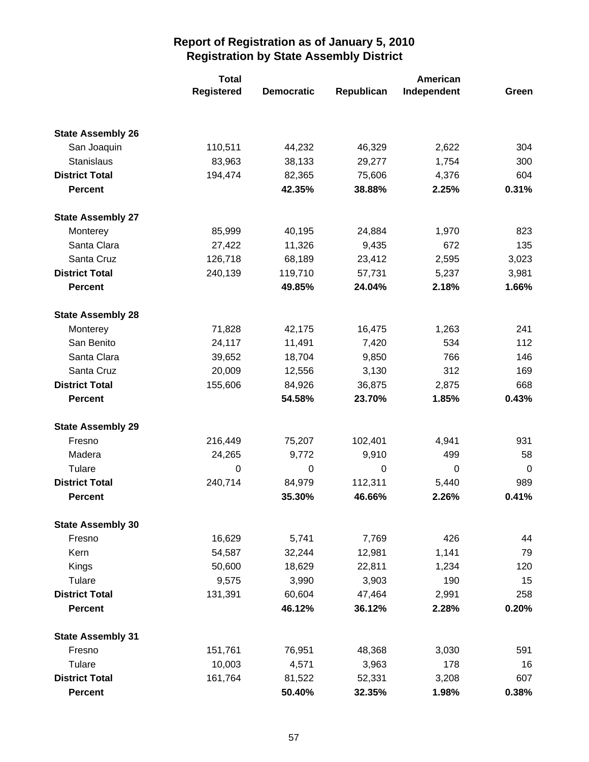|                          | <b>Total</b>      |                   |            | American    |             |  |
|--------------------------|-------------------|-------------------|------------|-------------|-------------|--|
|                          | <b>Registered</b> | <b>Democratic</b> | Republican | Independent | Green       |  |
|                          |                   |                   |            |             |             |  |
| <b>State Assembly 26</b> |                   |                   |            |             |             |  |
| San Joaquin              | 110,511           | 44,232            | 46,329     | 2,622       | 304         |  |
| <b>Stanislaus</b>        | 83,963            | 38,133            | 29,277     | 1,754       | 300         |  |
| <b>District Total</b>    | 194,474           | 82,365            | 75,606     | 4,376       | 604         |  |
| <b>Percent</b>           |                   | 42.35%            | 38.88%     | 2.25%       | 0.31%       |  |
| <b>State Assembly 27</b> |                   |                   |            |             |             |  |
| Monterey                 | 85,999            | 40,195            | 24,884     | 1,970       | 823         |  |
| Santa Clara              | 27,422            | 11,326            | 9,435      | 672         | 135         |  |
| Santa Cruz               | 126,718           | 68,189            | 23,412     | 2,595       | 3,023       |  |
| <b>District Total</b>    | 240,139           | 119,710           | 57,731     | 5,237       | 3,981       |  |
| <b>Percent</b>           |                   | 49.85%            | 24.04%     | 2.18%       | 1.66%       |  |
| <b>State Assembly 28</b> |                   |                   |            |             |             |  |
| Monterey                 | 71,828            | 42,175            | 16,475     | 1,263       | 241         |  |
| San Benito               | 24,117            | 11,491            | 7,420      | 534         | 112         |  |
| Santa Clara              | 39,652            | 18,704            | 9,850      | 766         | 146         |  |
| Santa Cruz               | 20,009            | 12,556            | 3,130      | 312         | 169         |  |
| <b>District Total</b>    | 155,606           | 84,926            | 36,875     | 2,875       | 668         |  |
| <b>Percent</b>           |                   | 54.58%            | 23.70%     | 1.85%       | 0.43%       |  |
| <b>State Assembly 29</b> |                   |                   |            |             |             |  |
| Fresno                   | 216,449           | 75,207            | 102,401    | 4,941       | 931         |  |
| Madera                   | 24,265            | 9,772             | 9,910      | 499         | 58          |  |
| Tulare                   | 0                 | $\mathbf 0$       | 0          | 0           | $\mathbf 0$ |  |
| <b>District Total</b>    | 240,714           | 84,979            | 112,311    | 5,440       | 989         |  |
| <b>Percent</b>           |                   | 35.30%            | 46.66%     | 2.26%       | 0.41%       |  |
| <b>State Assembly 30</b> |                   |                   |            |             |             |  |
| Fresno                   | 16,629            | 5,741             | 7,769      | 426         | 44          |  |
| Kern                     | 54,587            | 32,244            | 12,981     | 1,141       | 79          |  |
| Kings                    | 50,600            | 18,629            | 22,811     | 1,234       | 120         |  |
| Tulare                   | 9,575             | 3,990             | 3,903      | 190         | 15          |  |
| <b>District Total</b>    | 131,391           | 60,604            | 47,464     | 2,991       | 258         |  |
| <b>Percent</b>           |                   | 46.12%            | 36.12%     | 2.28%       | 0.20%       |  |
| <b>State Assembly 31</b> |                   |                   |            |             |             |  |
| Fresno                   | 151,761           | 76,951            | 48,368     | 3,030       | 591         |  |
| Tulare                   | 10,003            | 4,571             | 3,963      | 178         | 16          |  |
| <b>District Total</b>    | 161,764           | 81,522            | 52,331     | 3,208       | 607         |  |
| <b>Percent</b>           |                   | 50.40%            | 32.35%     | 1.98%       | 0.38%       |  |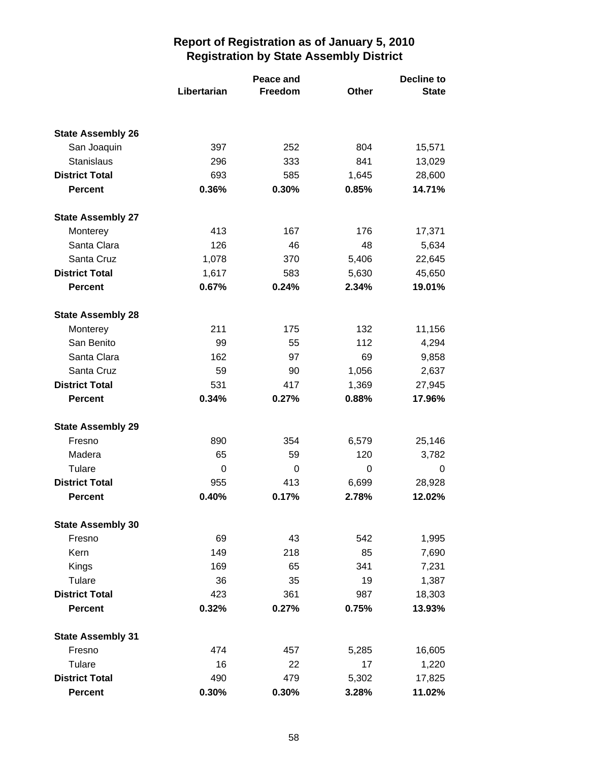|                          |             | Peace and |              | Decline to   |  |
|--------------------------|-------------|-----------|--------------|--------------|--|
|                          | Libertarian | Freedom   | <b>Other</b> | <b>State</b> |  |
|                          |             |           |              |              |  |
| <b>State Assembly 26</b> |             |           |              |              |  |
| San Joaquin              | 397         | 252       | 804          | 15,571       |  |
| <b>Stanislaus</b>        | 296         | 333       | 841          | 13,029       |  |
| <b>District Total</b>    | 693         | 585       | 1,645        | 28,600       |  |
| <b>Percent</b>           | 0.36%       | 0.30%     | 0.85%        | 14.71%       |  |
| <b>State Assembly 27</b> |             |           |              |              |  |
| Monterey                 | 413         | 167       | 176          | 17,371       |  |
| Santa Clara              | 126         | 46        | 48           | 5,634        |  |
| Santa Cruz               | 1,078       | 370       | 5,406        | 22,645       |  |
| <b>District Total</b>    | 1,617       | 583       | 5,630        | 45,650       |  |
| <b>Percent</b>           | 0.67%       | 0.24%     | 2.34%        | 19.01%       |  |
| <b>State Assembly 28</b> |             |           |              |              |  |
| Monterey                 | 211         | 175       | 132          | 11,156       |  |
| San Benito               | 99          | 55        | 112          | 4,294        |  |
| Santa Clara              | 162         | 97        | 69           | 9,858        |  |
| Santa Cruz               | 59          | 90        | 1,056        | 2,637        |  |
| <b>District Total</b>    | 531         | 417       | 1,369        | 27,945       |  |
| <b>Percent</b>           | 0.34%       | 0.27%     | 0.88%        | 17.96%       |  |
| <b>State Assembly 29</b> |             |           |              |              |  |
| Fresno                   | 890         | 354       | 6,579        | 25,146       |  |
| Madera                   | 65          | 59        | 120          | 3,782        |  |
| Tulare                   | 0           | 0         | 0            | 0            |  |
| <b>District Total</b>    | 955         | 413       | 6,699        | 28,928       |  |
| <b>Percent</b>           | 0.40%       | 0.17%     | 2.78%        | 12.02%       |  |
| <b>State Assembly 30</b> |             |           |              |              |  |
| Fresno                   | 69          | 43        | 542          | 1,995        |  |
| Kern                     | 149         | 218       | 85           | 7,690        |  |
| Kings                    | 169         | 65        | 341          | 7,231        |  |
| Tulare                   | 36          | 35        | 19           | 1,387        |  |
| <b>District Total</b>    | 423         | 361       | 987          | 18,303       |  |
| <b>Percent</b>           | 0.32%       | 0.27%     | 0.75%        | 13.93%       |  |
| <b>State Assembly 31</b> |             |           |              |              |  |
| Fresno                   | 474         | 457       | 5,285        | 16,605       |  |
| Tulare                   | 16          | 22        | 17           | 1,220        |  |
| <b>District Total</b>    | 490         | 479       | 5,302        | 17,825       |  |
| <b>Percent</b>           | 0.30%       | 0.30%     | 3.28%        | 11.02%       |  |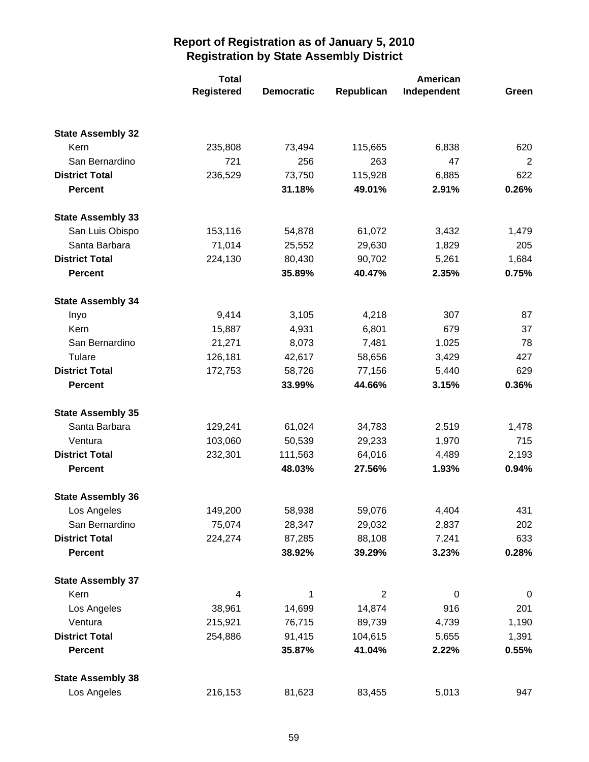|                          | <b>Total</b>      |                   |            | American    |       |
|--------------------------|-------------------|-------------------|------------|-------------|-------|
|                          | <b>Registered</b> | <b>Democratic</b> | Republican | Independent | Green |
|                          |                   |                   |            |             |       |
| <b>State Assembly 32</b> |                   |                   |            |             |       |
| Kern                     | 235,808           | 73,494            | 115,665    | 6,838       | 620   |
| San Bernardino           | 721               | 256               | 263        | 47          | 2     |
| <b>District Total</b>    | 236,529           | 73,750            | 115,928    | 6,885       | 622   |
| <b>Percent</b>           |                   | 31.18%            | 49.01%     | 2.91%       | 0.26% |
| <b>State Assembly 33</b> |                   |                   |            |             |       |
| San Luis Obispo          | 153,116           | 54,878            | 61,072     | 3,432       | 1,479 |
| Santa Barbara            | 71,014            | 25,552            | 29,630     | 1,829       | 205   |
| <b>District Total</b>    | 224,130           | 80,430            | 90,702     | 5,261       | 1,684 |
| <b>Percent</b>           |                   | 35.89%            | 40.47%     | 2.35%       | 0.75% |
| <b>State Assembly 34</b> |                   |                   |            |             |       |
| Inyo                     | 9,414             | 3,105             | 4,218      | 307         | 87    |
| Kern                     | 15,887            | 4,931             | 6,801      | 679         | 37    |
| San Bernardino           | 21,271            | 8,073             | 7,481      | 1,025       | 78    |
| Tulare                   | 126,181           | 42,617            | 58,656     | 3,429       | 427   |
| <b>District Total</b>    | 172,753           | 58,726            | 77,156     | 5,440       | 629   |
| <b>Percent</b>           |                   | 33.99%            | 44.66%     | 3.15%       | 0.36% |
| <b>State Assembly 35</b> |                   |                   |            |             |       |
| Santa Barbara            | 129,241           | 61,024            | 34,783     | 2,519       | 1,478 |
| Ventura                  | 103,060           | 50,539            | 29,233     | 1,970       | 715   |
| <b>District Total</b>    | 232,301           | 111,563           | 64,016     | 4,489       | 2,193 |
| <b>Percent</b>           |                   | 48.03%            | 27.56%     | 1.93%       | 0.94% |
| <b>State Assembly 36</b> |                   |                   |            |             |       |
| Los Angeles              | 149,200           | 58,938            | 59,076     | 4,404       | 431   |
| San Bernardino           | 75,074            | 28,347            | 29,032     | 2,837       | 202   |
| <b>District Total</b>    | 224,274           | 87,285            | 88,108     | 7,241       | 633   |
| <b>Percent</b>           |                   | 38.92%            | 39.29%     | 3.23%       | 0.28% |
| <b>State Assembly 37</b> |                   |                   |            |             |       |
| Kern                     | 4                 | 1                 | 2          | $\pmb{0}$   | 0     |
| Los Angeles              | 38,961            | 14,699            | 14,874     | 916         | 201   |
| Ventura                  | 215,921           | 76,715            | 89,739     | 4,739       | 1,190 |
| <b>District Total</b>    | 254,886           | 91,415            | 104,615    | 5,655       | 1,391 |
| <b>Percent</b>           |                   | 35.87%            | 41.04%     | 2.22%       | 0.55% |
| <b>State Assembly 38</b> |                   |                   |            |             |       |
| Los Angeles              | 216,153           | 81,623            | 83,455     | 5,013       | 947   |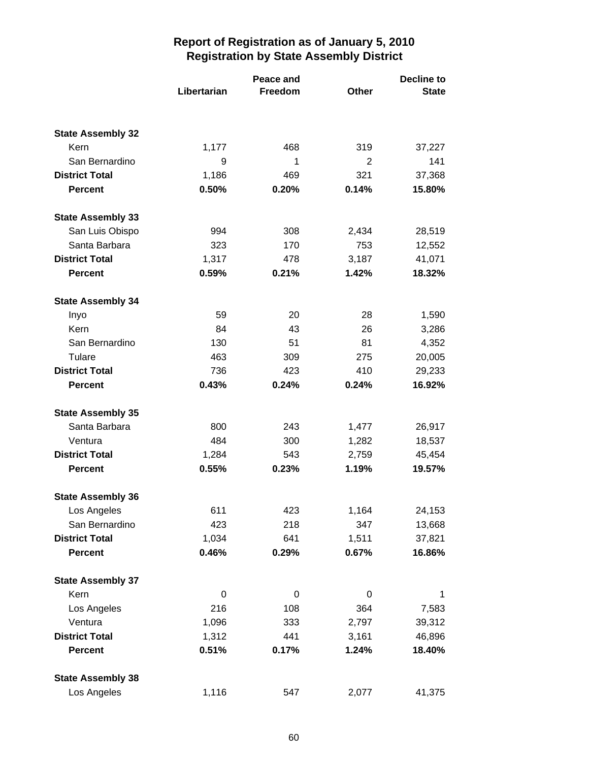|                          |             | Peace and |       | <b>Decline to</b> |  |
|--------------------------|-------------|-----------|-------|-------------------|--|
|                          | Libertarian | Freedom   | Other | <b>State</b>      |  |
|                          |             |           |       |                   |  |
| <b>State Assembly 32</b> |             |           |       |                   |  |
| Kern                     | 1,177       | 468       | 319   | 37,227            |  |
| San Bernardino           | 9           | 1         | 2     | 141               |  |
| <b>District Total</b>    | 1,186       | 469       | 321   | 37,368            |  |
| <b>Percent</b>           | 0.50%       | 0.20%     | 0.14% | 15.80%            |  |
| <b>State Assembly 33</b> |             |           |       |                   |  |
| San Luis Obispo          | 994         | 308       | 2,434 | 28,519            |  |
| Santa Barbara            | 323         | 170       | 753   | 12,552            |  |
| <b>District Total</b>    | 1,317       | 478       | 3,187 | 41,071            |  |
| <b>Percent</b>           | 0.59%       | 0.21%     | 1.42% | 18.32%            |  |
| <b>State Assembly 34</b> |             |           |       |                   |  |
| Inyo                     | 59          | 20        | 28    | 1,590             |  |
| Kern                     | 84          | 43        | 26    | 3,286             |  |
| San Bernardino           | 130         | 51        | 81    | 4,352             |  |
| Tulare                   | 463         | 309       | 275   | 20,005            |  |
| <b>District Total</b>    | 736         | 423       | 410   | 29,233            |  |
| <b>Percent</b>           | 0.43%       | 0.24%     | 0.24% | 16.92%            |  |
| <b>State Assembly 35</b> |             |           |       |                   |  |
| Santa Barbara            | 800         | 243       | 1,477 | 26,917            |  |
| Ventura                  | 484         | 300       | 1,282 | 18,537            |  |
| <b>District Total</b>    | 1,284       | 543       | 2,759 | 45,454            |  |
| <b>Percent</b>           | 0.55%       | 0.23%     | 1.19% | 19.57%            |  |
| <b>State Assembly 36</b> |             |           |       |                   |  |
| Los Angeles              | 611         | 423       | 1,164 | 24,153            |  |
| San Bernardino           | 423         | 218       | 347   | 13,668            |  |
| <b>District Total</b>    | 1,034       | 641       | 1,511 | 37,821            |  |
| <b>Percent</b>           | 0.46%       | 0.29%     | 0.67% | 16.86%            |  |
| <b>State Assembly 37</b> |             |           |       |                   |  |
| Kern                     | 0           | 0         | 0     | 1                 |  |
| Los Angeles              | 216         | 108       | 364   | 7,583             |  |
| Ventura                  | 1,096       | 333       | 2,797 | 39,312            |  |
| <b>District Total</b>    | 1,312       | 441       | 3,161 | 46,896            |  |
| <b>Percent</b>           | 0.51%       | 0.17%     | 1.24% | 18.40%            |  |
| <b>State Assembly 38</b> |             |           |       |                   |  |
| Los Angeles              | 1,116       | 547       | 2,077 | 41,375            |  |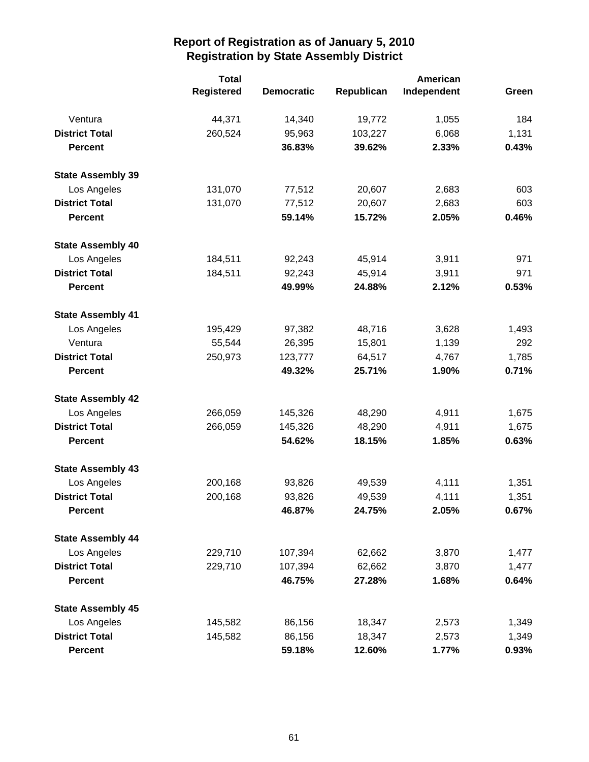|                          | <b>Total</b>      |                   |            | American    |       |
|--------------------------|-------------------|-------------------|------------|-------------|-------|
|                          | <b>Registered</b> | <b>Democratic</b> | Republican | Independent | Green |
| Ventura                  | 44,371            | 14,340            | 19,772     | 1,055       | 184   |
| <b>District Total</b>    | 260,524           | 95,963            | 103,227    | 6,068       | 1,131 |
| <b>Percent</b>           |                   | 36.83%            | 39.62%     | 2.33%       | 0.43% |
| <b>State Assembly 39</b> |                   |                   |            |             |       |
| Los Angeles              | 131,070           | 77,512            | 20,607     | 2,683       | 603   |
| <b>District Total</b>    | 131,070           | 77,512            | 20,607     | 2,683       | 603   |
| <b>Percent</b>           |                   | 59.14%            | 15.72%     | 2.05%       | 0.46% |
| <b>State Assembly 40</b> |                   |                   |            |             |       |
| Los Angeles              | 184,511           | 92,243            | 45,914     | 3,911       | 971   |
| <b>District Total</b>    | 184,511           | 92,243            | 45,914     | 3,911       | 971   |
| <b>Percent</b>           |                   | 49.99%            | 24.88%     | 2.12%       | 0.53% |
| <b>State Assembly 41</b> |                   |                   |            |             |       |
| Los Angeles              | 195,429           | 97,382            | 48,716     | 3,628       | 1,493 |
| Ventura                  | 55,544            | 26,395            | 15,801     | 1,139       | 292   |
| <b>District Total</b>    | 250,973           | 123,777           | 64,517     | 4,767       | 1,785 |
| <b>Percent</b>           |                   | 49.32%            | 25.71%     | 1.90%       | 0.71% |
| <b>State Assembly 42</b> |                   |                   |            |             |       |
| Los Angeles              | 266,059           | 145,326           | 48,290     | 4,911       | 1,675 |
| <b>District Total</b>    | 266,059           | 145,326           | 48,290     | 4,911       | 1,675 |
| <b>Percent</b>           |                   | 54.62%            | 18.15%     | 1.85%       | 0.63% |
| <b>State Assembly 43</b> |                   |                   |            |             |       |
| Los Angeles              | 200,168           | 93,826            | 49,539     | 4,111       | 1,351 |
| <b>District Total</b>    | 200,168           | 93,826            | 49,539     | 4,111       | 1,351 |
| <b>Percent</b>           |                   | 46.87%            | 24.75%     | 2.05%       | 0.67% |
| <b>State Assembly 44</b> |                   |                   |            |             |       |
| Los Angeles              | 229,710           | 107,394           | 62,662     | 3,870       | 1,477 |
| <b>District Total</b>    | 229,710           | 107,394           | 62,662     | 3,870       | 1,477 |
| <b>Percent</b>           |                   | 46.75%            | 27.28%     | 1.68%       | 0.64% |
| <b>State Assembly 45</b> |                   |                   |            |             |       |
| Los Angeles              | 145,582           | 86,156            | 18,347     | 2,573       | 1,349 |
| <b>District Total</b>    | 145,582           | 86,156            | 18,347     | 2,573       | 1,349 |
| <b>Percent</b>           |                   | 59.18%            | 12.60%     | 1.77%       | 0.93% |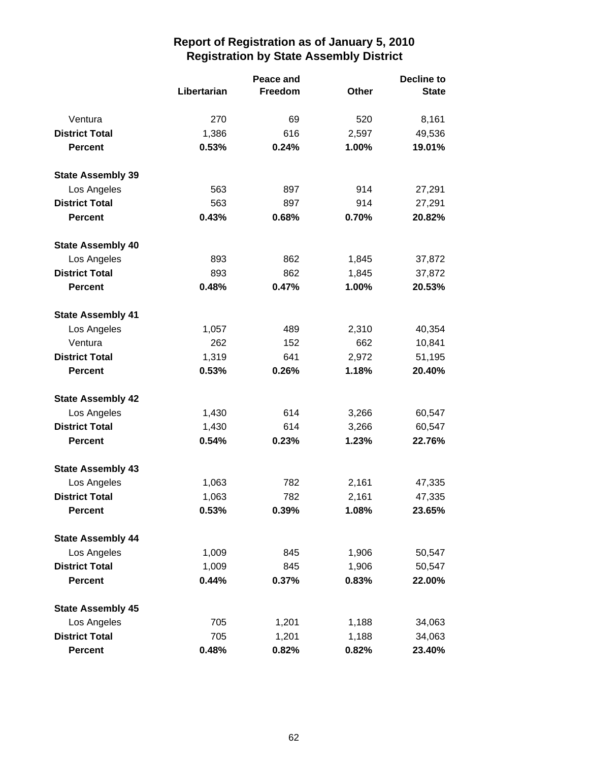|                          |             | Peace and | <b>Decline to</b> |              |  |
|--------------------------|-------------|-----------|-------------------|--------------|--|
|                          | Libertarian | Freedom   | Other             | <b>State</b> |  |
| Ventura                  | 270         | 69        | 520               | 8,161        |  |
| <b>District Total</b>    | 1,386       | 616       | 2,597             | 49,536       |  |
| <b>Percent</b>           | 0.53%       | 0.24%     | 1.00%             | 19.01%       |  |
| <b>State Assembly 39</b> |             |           |                   |              |  |
| Los Angeles              | 563         | 897       | 914               | 27,291       |  |
| <b>District Total</b>    | 563         | 897       | 914               | 27,291       |  |
| <b>Percent</b>           | 0.43%       | 0.68%     | 0.70%             | 20.82%       |  |
| <b>State Assembly 40</b> |             |           |                   |              |  |
| Los Angeles              | 893         | 862       | 1,845             | 37,872       |  |
| <b>District Total</b>    | 893         | 862       | 1,845             | 37,872       |  |
| <b>Percent</b>           | 0.48%       | 0.47%     | 1.00%             | 20.53%       |  |
| <b>State Assembly 41</b> |             |           |                   |              |  |
| Los Angeles              | 1,057       | 489       | 2,310             | 40,354       |  |
| Ventura                  | 262         | 152       | 662               | 10,841       |  |
| <b>District Total</b>    | 1,319       | 641       | 2,972             | 51,195       |  |
| <b>Percent</b>           | 0.53%       | 0.26%     | 1.18%             | 20.40%       |  |
| <b>State Assembly 42</b> |             |           |                   |              |  |
| Los Angeles              | 1,430       | 614       | 3,266             | 60,547       |  |
| <b>District Total</b>    | 1,430       | 614       | 3,266             | 60,547       |  |
| <b>Percent</b>           | 0.54%       | 0.23%     | 1.23%             | 22.76%       |  |
| <b>State Assembly 43</b> |             |           |                   |              |  |
| Los Angeles              | 1,063       | 782       | 2,161             | 47,335       |  |
| <b>District Total</b>    | 1,063       | 782       | 2,161             | 47,335       |  |
| <b>Percent</b>           | 0.53%       | 0.39%     | 1.08%             | 23.65%       |  |
| <b>State Assembly 44</b> |             |           |                   |              |  |
| Los Angeles              | 1,009       | 845       | 1,906             | 50,547       |  |
| <b>District Total</b>    | 1,009       | 845       | 1,906             | 50,547       |  |
| <b>Percent</b>           | 0.44%       | 0.37%     | 0.83%             | 22.00%       |  |
| <b>State Assembly 45</b> |             |           |                   |              |  |
| Los Angeles              | 705         | 1,201     | 1,188             | 34,063       |  |
| <b>District Total</b>    | 705         | 1,201     | 1,188             | 34,063       |  |
| <b>Percent</b>           | 0.48%       | 0.82%     | 0.82%             | 23.40%       |  |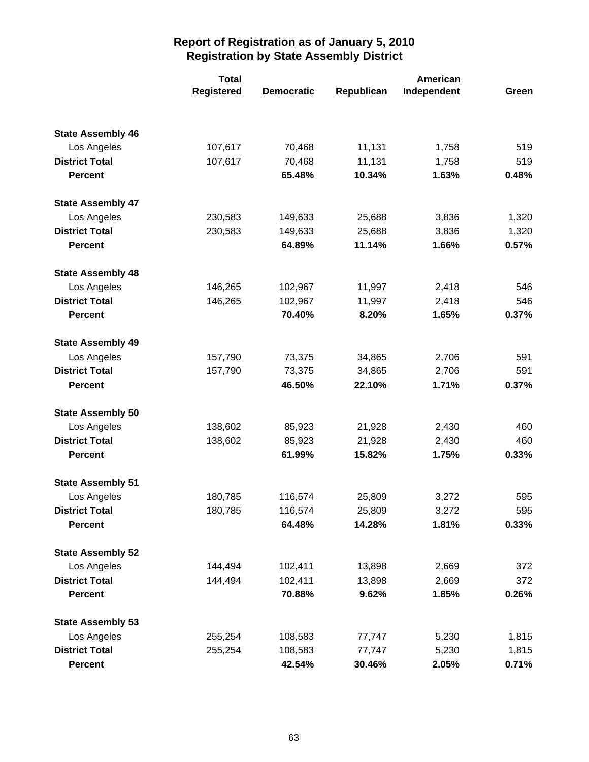|                          | <b>Total</b> |                   |            | American    |       |
|--------------------------|--------------|-------------------|------------|-------------|-------|
|                          | Registered   | <b>Democratic</b> | Republican | Independent | Green |
|                          |              |                   |            |             |       |
| <b>State Assembly 46</b> |              |                   |            |             |       |
| Los Angeles              | 107,617      | 70,468            | 11,131     | 1,758       | 519   |
| <b>District Total</b>    | 107,617      | 70,468            | 11,131     | 1,758       | 519   |
| <b>Percent</b>           |              | 65.48%            | 10.34%     | 1.63%       | 0.48% |
| <b>State Assembly 47</b> |              |                   |            |             |       |
| Los Angeles              | 230,583      | 149,633           | 25,688     | 3,836       | 1,320 |
| <b>District Total</b>    | 230,583      | 149,633           | 25,688     | 3,836       | 1,320 |
| <b>Percent</b>           |              | 64.89%            | 11.14%     | 1.66%       | 0.57% |
| <b>State Assembly 48</b> |              |                   |            |             |       |
| Los Angeles              | 146,265      | 102,967           | 11,997     | 2,418       | 546   |
| <b>District Total</b>    | 146,265      | 102,967           | 11,997     | 2,418       | 546   |
| <b>Percent</b>           |              | 70.40%            | 8.20%      | 1.65%       | 0.37% |
| <b>State Assembly 49</b> |              |                   |            |             |       |
| Los Angeles              | 157,790      | 73,375            | 34,865     | 2,706       | 591   |
| <b>District Total</b>    | 157,790      | 73,375            | 34,865     | 2,706       | 591   |
| <b>Percent</b>           |              | 46.50%            | 22.10%     | 1.71%       | 0.37% |
| <b>State Assembly 50</b> |              |                   |            |             |       |
| Los Angeles              | 138,602      | 85,923            | 21,928     | 2,430       | 460   |
| <b>District Total</b>    | 138,602      | 85,923            | 21,928     | 2,430       | 460   |
| <b>Percent</b>           |              | 61.99%            | 15.82%     | 1.75%       | 0.33% |
| <b>State Assembly 51</b> |              |                   |            |             |       |
| Los Angeles              | 180,785      | 116,574           | 25,809     | 3,272       | 595   |
| <b>District Total</b>    | 180,785      | 116,574           | 25,809     | 3,272       | 595   |
| <b>Percent</b>           |              | 64.48%            | 14.28%     | 1.81%       | 0.33% |
| <b>State Assembly 52</b> |              |                   |            |             |       |
| Los Angeles              | 144,494      | 102,411           | 13,898     | 2,669       | 372   |
| <b>District Total</b>    | 144,494      | 102,411           | 13,898     | 2,669       | 372   |
| <b>Percent</b>           |              | 70.88%            | 9.62%      | 1.85%       | 0.26% |
| <b>State Assembly 53</b> |              |                   |            |             |       |
| Los Angeles              | 255,254      | 108,583           | 77,747     | 5,230       | 1,815 |
| <b>District Total</b>    | 255,254      | 108,583           | 77,747     | 5,230       | 1,815 |
| <b>Percent</b>           |              | 42.54%            | 30.46%     | 2.05%       | 0.71% |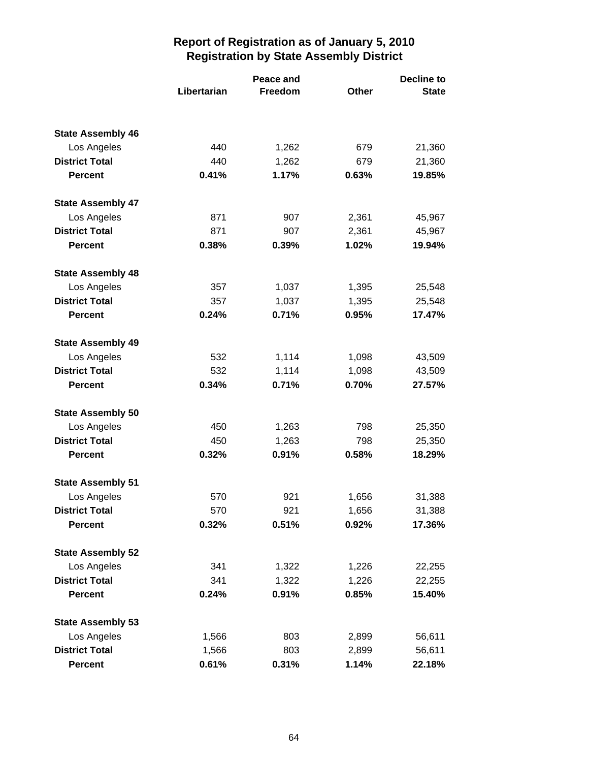|                                      |             | Peace and      |            | <b>Decline to</b> |  |
|--------------------------------------|-------------|----------------|------------|-------------------|--|
|                                      | Libertarian | Freedom        | Other      | <b>State</b>      |  |
|                                      |             |                |            |                   |  |
| <b>State Assembly 46</b>             |             |                |            |                   |  |
| Los Angeles<br><b>District Total</b> | 440<br>440  | 1,262<br>1,262 | 679<br>679 | 21,360<br>21,360  |  |
| <b>Percent</b>                       | 0.41%       | 1.17%          | 0.63%      | 19.85%            |  |
|                                      |             |                |            |                   |  |
| <b>State Assembly 47</b>             |             |                |            |                   |  |
| Los Angeles                          | 871         | 907            | 2,361      | 45,967            |  |
| <b>District Total</b>                | 871         | 907            | 2,361      | 45,967            |  |
| <b>Percent</b>                       | 0.38%       | 0.39%          | 1.02%      | 19.94%            |  |
| <b>State Assembly 48</b>             |             |                |            |                   |  |
| Los Angeles                          | 357         | 1,037          | 1,395      | 25,548            |  |
| <b>District Total</b>                | 357         | 1,037          | 1,395      | 25,548            |  |
| <b>Percent</b>                       | 0.24%       | 0.71%          | 0.95%      | 17.47%            |  |
| <b>State Assembly 49</b>             |             |                |            |                   |  |
| Los Angeles                          | 532         | 1,114          | 1,098      | 43,509            |  |
| <b>District Total</b>                | 532         | 1,114          | 1,098      | 43,509            |  |
| <b>Percent</b>                       | 0.34%       | 0.71%          | 0.70%      | 27.57%            |  |
| <b>State Assembly 50</b>             |             |                |            |                   |  |
| Los Angeles                          | 450         | 1,263          | 798        | 25,350            |  |
| <b>District Total</b>                | 450         | 1,263          | 798        | 25,350            |  |
| <b>Percent</b>                       | 0.32%       | 0.91%          | 0.58%      | 18.29%            |  |
| <b>State Assembly 51</b>             |             |                |            |                   |  |
| Los Angeles                          | 570         | 921            | 1,656      | 31,388            |  |
| <b>District Total</b>                | 570         | 921            | 1,656      | 31,388            |  |
| <b>Percent</b>                       | 0.32%       | 0.51%          | 0.92%      | 17.36%            |  |
| <b>State Assembly 52</b>             |             |                |            |                   |  |
| Los Angeles                          | 341         | 1,322          | 1,226      | 22,255            |  |
| <b>District Total</b>                | 341         | 1,322          | 1,226      | 22,255            |  |
| <b>Percent</b>                       | 0.24%       | 0.91%          | 0.85%      | 15.40%            |  |
| <b>State Assembly 53</b>             |             |                |            |                   |  |
| Los Angeles                          | 1,566       | 803            | 2,899      | 56,611            |  |
| <b>District Total</b>                | 1,566       | 803            | 2,899      | 56,611            |  |
| <b>Percent</b>                       | 0.61%       | 0.31%          | 1.14%      | 22.18%            |  |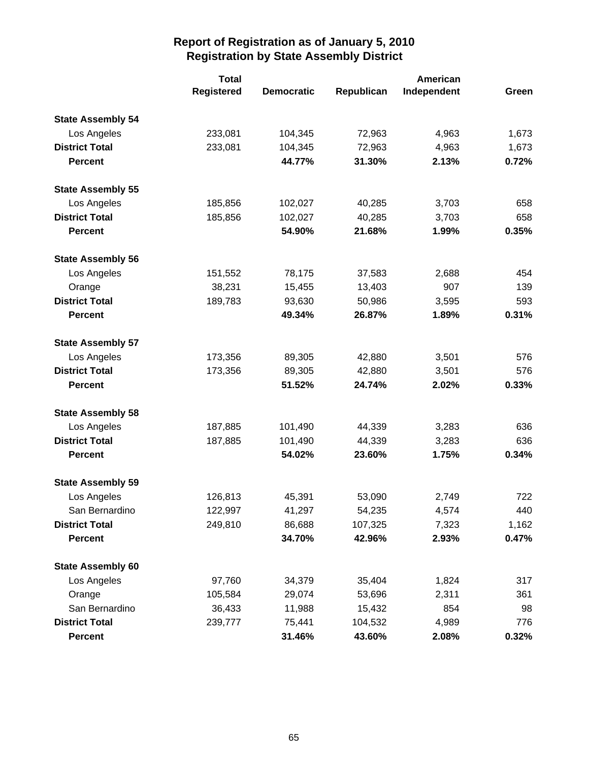|                          | <b>Total</b>      |                   |            | American    |       |  |
|--------------------------|-------------------|-------------------|------------|-------------|-------|--|
|                          | <b>Registered</b> | <b>Democratic</b> | Republican | Independent | Green |  |
| <b>State Assembly 54</b> |                   |                   |            |             |       |  |
| Los Angeles              | 233,081           | 104,345           | 72,963     | 4,963       | 1,673 |  |
| <b>District Total</b>    | 233,081           | 104,345           | 72,963     | 4,963       | 1,673 |  |
| <b>Percent</b>           |                   | 44.77%            | 31.30%     | 2.13%       | 0.72% |  |
| <b>State Assembly 55</b> |                   |                   |            |             |       |  |
| Los Angeles              | 185,856           | 102,027           | 40,285     | 3,703       | 658   |  |
| <b>District Total</b>    | 185,856           | 102,027           | 40,285     | 3,703       | 658   |  |
| <b>Percent</b>           |                   | 54.90%            | 21.68%     | 1.99%       | 0.35% |  |
| <b>State Assembly 56</b> |                   |                   |            |             |       |  |
| Los Angeles              | 151,552           | 78,175            | 37,583     | 2,688       | 454   |  |
| Orange                   | 38,231            | 15,455            | 13,403     | 907         | 139   |  |
| <b>District Total</b>    | 189,783           | 93,630            | 50,986     | 3,595       | 593   |  |
| <b>Percent</b>           |                   | 49.34%            | 26.87%     | 1.89%       | 0.31% |  |
| <b>State Assembly 57</b> |                   |                   |            |             |       |  |
| Los Angeles              | 173,356           | 89,305            | 42,880     | 3,501       | 576   |  |
| <b>District Total</b>    | 173,356           | 89,305            | 42,880     | 3,501       | 576   |  |
| <b>Percent</b>           |                   | 51.52%            | 24.74%     | 2.02%       | 0.33% |  |
| <b>State Assembly 58</b> |                   |                   |            |             |       |  |
| Los Angeles              | 187,885           | 101,490           | 44,339     | 3,283       | 636   |  |
| <b>District Total</b>    | 187,885           | 101,490           | 44,339     | 3,283       | 636   |  |
| <b>Percent</b>           |                   | 54.02%            | 23.60%     | 1.75%       | 0.34% |  |
| <b>State Assembly 59</b> |                   |                   |            |             |       |  |
| Los Angeles              | 126,813           | 45,391            | 53,090     | 2,749       | 722   |  |
| San Bernardino           | 122,997           | 41,297            | 54,235     | 4,574       | 440   |  |
| <b>District Total</b>    | 249,810           | 86,688            | 107,325    | 7,323       | 1,162 |  |
| <b>Percent</b>           |                   | 34.70%            | 42.96%     | 2.93%       | 0.47% |  |
| <b>State Assembly 60</b> |                   |                   |            |             |       |  |
| Los Angeles              | 97,760            | 34,379            | 35,404     | 1,824       | 317   |  |
| Orange                   | 105,584           | 29,074            | 53,696     | 2,311       | 361   |  |
| San Bernardino           | 36,433            | 11,988            | 15,432     | 854         | 98    |  |
| <b>District Total</b>    | 239,777           | 75,441            | 104,532    | 4,989       | 776   |  |
| <b>Percent</b>           |                   | 31.46%            | 43.60%     | 2.08%       | 0.32% |  |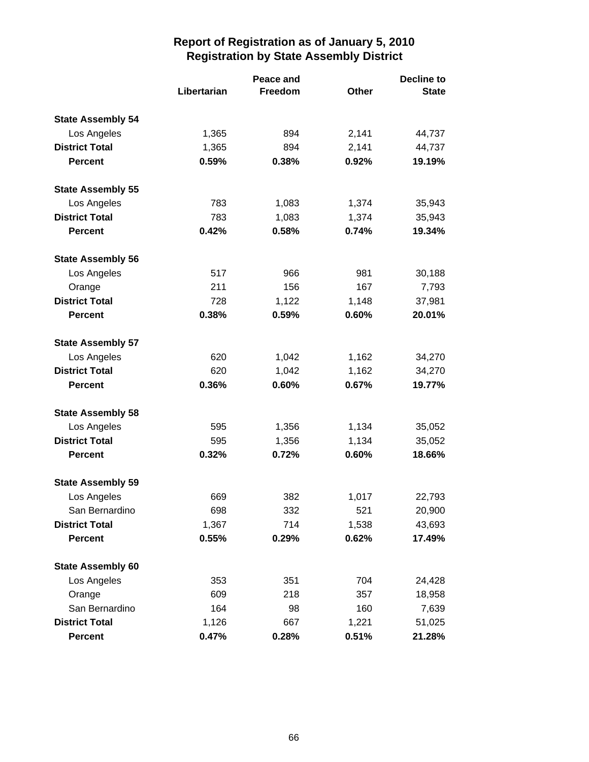|                          |             | Peace and |       | <b>Decline to</b> |  |
|--------------------------|-------------|-----------|-------|-------------------|--|
|                          | Libertarian | Freedom   | Other | <b>State</b>      |  |
| <b>State Assembly 54</b> |             |           |       |                   |  |
| Los Angeles              | 1,365       | 894       | 2,141 | 44,737            |  |
| <b>District Total</b>    | 1,365       | 894       | 2,141 | 44,737            |  |
| <b>Percent</b>           | 0.59%       | 0.38%     | 0.92% | 19.19%            |  |
| <b>State Assembly 55</b> |             |           |       |                   |  |
| Los Angeles              | 783         | 1,083     | 1,374 | 35,943            |  |
| <b>District Total</b>    | 783         | 1,083     | 1,374 | 35,943            |  |
| <b>Percent</b>           | 0.42%       | 0.58%     | 0.74% | 19.34%            |  |
| <b>State Assembly 56</b> |             |           |       |                   |  |
| Los Angeles              | 517         | 966       | 981   | 30,188            |  |
| Orange                   | 211         | 156       | 167   | 7,793             |  |
| <b>District Total</b>    | 728         | 1,122     | 1,148 | 37,981            |  |
| <b>Percent</b>           | 0.38%       | 0.59%     | 0.60% | 20.01%            |  |
| <b>State Assembly 57</b> |             |           |       |                   |  |
| Los Angeles              | 620         | 1,042     | 1,162 | 34,270            |  |
| <b>District Total</b>    | 620         | 1,042     | 1,162 | 34,270            |  |
| <b>Percent</b>           | 0.36%       | 0.60%     | 0.67% | 19.77%            |  |
| <b>State Assembly 58</b> |             |           |       |                   |  |
| Los Angeles              | 595         | 1,356     | 1,134 | 35,052            |  |
| <b>District Total</b>    | 595         | 1,356     | 1,134 | 35,052            |  |
| <b>Percent</b>           | 0.32%       | 0.72%     | 0.60% | 18.66%            |  |
| <b>State Assembly 59</b> |             |           |       |                   |  |
| Los Angeles              | 669         | 382       | 1,017 | 22,793            |  |
| San Bernardino           | 698         | 332       | 521   | 20,900            |  |
| <b>District Total</b>    | 1,367       | 714       | 1,538 | 43,693            |  |
| <b>Percent</b>           | 0.55%       | 0.29%     | 0.62% | 17.49%            |  |
| <b>State Assembly 60</b> |             |           |       |                   |  |
| Los Angeles              | 353         | 351       | 704   | 24,428            |  |
| Orange                   | 609         | 218       | 357   | 18,958            |  |
| San Bernardino           | 164         | 98        | 160   | 7,639             |  |
| <b>District Total</b>    | 1,126       | 667       | 1,221 | 51,025            |  |
| Percent                  | 0.47%       | 0.28%     | 0.51% | 21.28%            |  |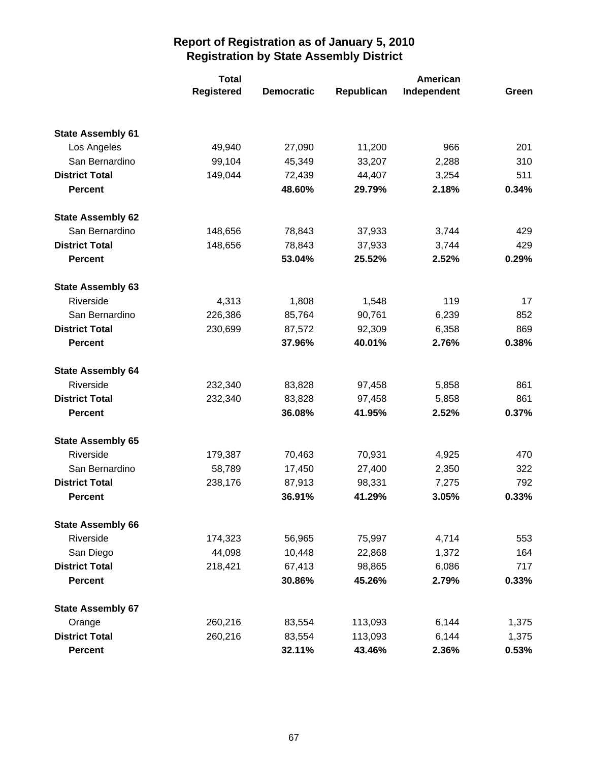|                          | <b>Total</b>      |                   |            |             |       |
|--------------------------|-------------------|-------------------|------------|-------------|-------|
|                          | <b>Registered</b> | <b>Democratic</b> | Republican | Independent | Green |
|                          |                   |                   |            |             |       |
| <b>State Assembly 61</b> |                   |                   |            |             |       |
| Los Angeles              | 49,940            | 27,090            | 11,200     | 966         | 201   |
| San Bernardino           | 99,104            | 45,349            | 33,207     | 2,288       | 310   |
| <b>District Total</b>    | 149,044           | 72,439            | 44,407     | 3,254       | 511   |
| <b>Percent</b>           |                   | 48.60%            | 29.79%     | 2.18%       | 0.34% |
| <b>State Assembly 62</b> |                   |                   |            |             |       |
| San Bernardino           | 148,656           | 78,843            | 37,933     | 3,744       | 429   |
| <b>District Total</b>    | 148,656           | 78,843            | 37,933     | 3,744       | 429   |
| <b>Percent</b>           |                   | 53.04%            | 25.52%     | 2.52%       | 0.29% |
| <b>State Assembly 63</b> |                   |                   |            |             |       |
| Riverside                | 4,313             | 1,808             | 1,548      | 119         | 17    |
| San Bernardino           | 226,386           | 85,764            | 90,761     | 6,239       | 852   |
| <b>District Total</b>    | 230,699           | 87,572            | 92,309     | 6,358       | 869   |
| <b>Percent</b>           |                   | 37.96%            | 40.01%     | 2.76%       | 0.38% |
| <b>State Assembly 64</b> |                   |                   |            |             |       |
| Riverside                | 232,340           | 83,828            | 97,458     | 5,858       | 861   |
| <b>District Total</b>    | 232,340           | 83,828            | 97,458     | 5,858       | 861   |
| <b>Percent</b>           |                   | 36.08%            | 41.95%     | 2.52%       | 0.37% |
| <b>State Assembly 65</b> |                   |                   |            |             |       |
| Riverside                | 179,387           | 70,463            | 70,931     | 4,925       | 470   |
| San Bernardino           | 58,789            | 17,450            | 27,400     | 2,350       | 322   |
| <b>District Total</b>    | 238,176           | 87,913            | 98,331     | 7,275       | 792   |
| <b>Percent</b>           |                   | 36.91%            | 41.29%     | 3.05%       | 0.33% |
| <b>State Assembly 66</b> |                   |                   |            |             |       |
| Riverside                | 174,323           | 56,965            | 75,997     | 4,714       | 553   |
| San Diego                | 44,098            | 10,448            | 22,868     | 1,372       | 164   |
| <b>District Total</b>    | 218,421           | 67,413            | 98,865     | 6,086       | 717   |
| <b>Percent</b>           |                   | 30.86%            | 45.26%     | 2.79%       | 0.33% |
| <b>State Assembly 67</b> |                   |                   |            |             |       |
| Orange                   | 260,216           | 83,554            | 113,093    | 6,144       | 1,375 |
| <b>District Total</b>    | 260,216           | 83,554            | 113,093    | 6,144       | 1,375 |
| <b>Percent</b>           |                   | 32.11%            | 43.46%     | 2.36%       | 0.53% |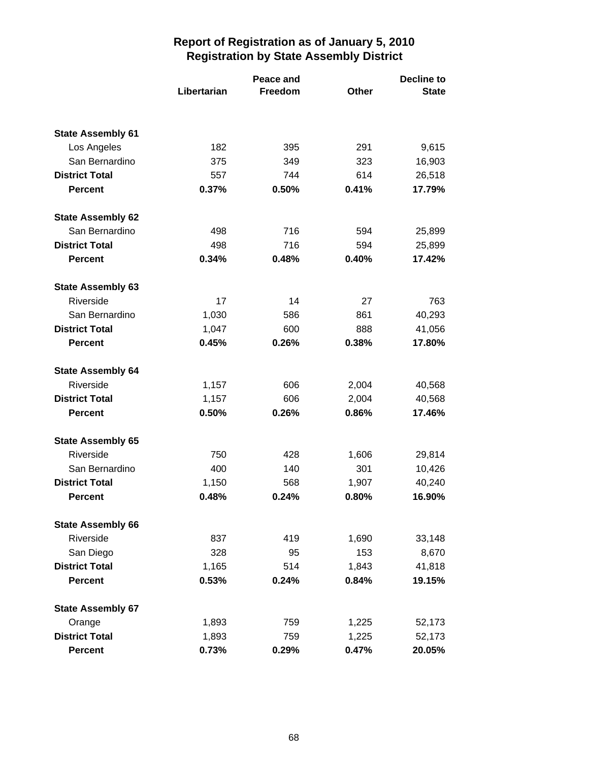|                          | Peace and   |         | <b>Decline to</b> |              |
|--------------------------|-------------|---------|-------------------|--------------|
|                          | Libertarian | Freedom | Other             | <b>State</b> |
| <b>State Assembly 61</b> |             |         |                   |              |
| Los Angeles              | 182         | 395     | 291               | 9,615        |
| San Bernardino           | 375         | 349     | 323               | 16,903       |
| <b>District Total</b>    | 557         | 744     | 614               | 26,518       |
| <b>Percent</b>           | 0.37%       | 0.50%   | 0.41%             | 17.79%       |
| <b>State Assembly 62</b> |             |         |                   |              |
| San Bernardino           | 498         | 716     | 594               | 25,899       |
| <b>District Total</b>    | 498         | 716     | 594               | 25,899       |
| <b>Percent</b>           | 0.34%       | 0.48%   | 0.40%             | 17.42%       |
| <b>State Assembly 63</b> |             |         |                   |              |
| Riverside                | 17          | 14      | 27                | 763          |
| San Bernardino           | 1,030       | 586     | 861               | 40,293       |
| <b>District Total</b>    | 1,047       | 600     | 888               | 41,056       |
| <b>Percent</b>           | 0.45%       | 0.26%   | 0.38%             | 17.80%       |
| <b>State Assembly 64</b> |             |         |                   |              |
| Riverside                | 1,157       | 606     | 2,004             | 40,568       |
| <b>District Total</b>    | 1,157       | 606     | 2,004             | 40,568       |
| <b>Percent</b>           | 0.50%       | 0.26%   | 0.86%             | 17.46%       |
| <b>State Assembly 65</b> |             |         |                   |              |
| Riverside                | 750         | 428     | 1,606             | 29,814       |
| San Bernardino           | 400         | 140     | 301               | 10,426       |
| <b>District Total</b>    | 1,150       | 568     | 1,907             | 40,240       |
| <b>Percent</b>           | 0.48%       | 0.24%   | 0.80%             | 16.90%       |
| <b>State Assembly 66</b> |             |         |                   |              |
| Riverside                | 837         | 419     | 1,690             | 33,148       |
| San Diego                | 328         | 95      | 153               | 8,670        |
| <b>District Total</b>    | 1,165       | 514     | 1,843             | 41,818       |
| <b>Percent</b>           | 0.53%       | 0.24%   | 0.84%             | 19.15%       |
| <b>State Assembly 67</b> |             |         |                   |              |
| Orange                   | 1,893       | 759     | 1,225             | 52,173       |
| <b>District Total</b>    | 1,893       | 759     | 1,225             | 52,173       |
| <b>Percent</b>           | 0.73%       | 0.29%   | 0.47%             | 20.05%       |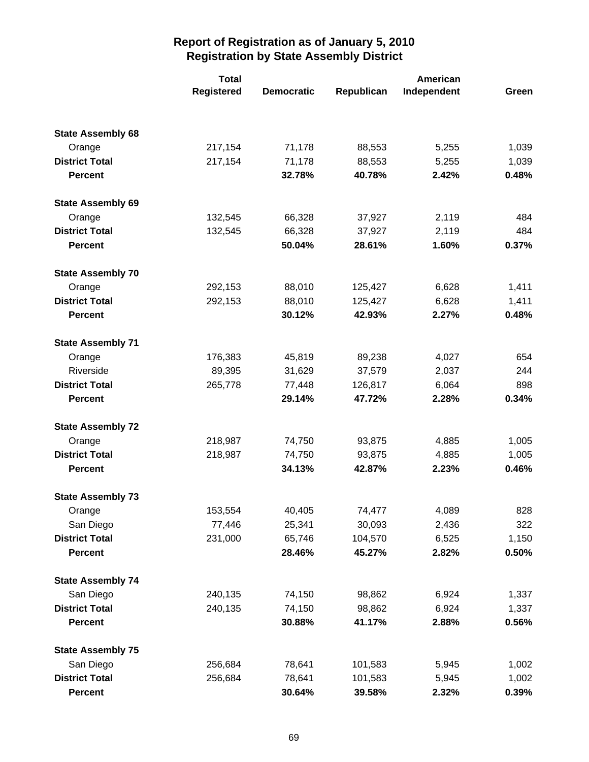|                          | <b>Total</b>      |                   |            |             |       |
|--------------------------|-------------------|-------------------|------------|-------------|-------|
|                          | <b>Registered</b> | <b>Democratic</b> | Republican | Independent | Green |
|                          |                   |                   |            |             |       |
| <b>State Assembly 68</b> |                   |                   |            |             |       |
| Orange                   | 217,154           | 71,178            | 88,553     | 5,255       | 1,039 |
| <b>District Total</b>    | 217,154           | 71,178            | 88,553     | 5,255       | 1,039 |
| <b>Percent</b>           |                   | 32.78%            | 40.78%     | 2.42%       | 0.48% |
| <b>State Assembly 69</b> |                   |                   |            |             |       |
| Orange                   | 132,545           | 66,328            | 37,927     | 2,119       | 484   |
| <b>District Total</b>    | 132,545           | 66,328            | 37,927     | 2,119       | 484   |
| <b>Percent</b>           |                   | 50.04%            | 28.61%     | 1.60%       | 0.37% |
| <b>State Assembly 70</b> |                   |                   |            |             |       |
| Orange                   | 292,153           | 88,010            | 125,427    | 6,628       | 1,411 |
| <b>District Total</b>    | 292,153           | 88,010            | 125,427    | 6,628       | 1,411 |
| <b>Percent</b>           |                   | 30.12%            | 42.93%     | 2.27%       | 0.48% |
| <b>State Assembly 71</b> |                   |                   |            |             |       |
| Orange                   | 176,383           | 45,819            | 89,238     | 4,027       | 654   |
| Riverside                | 89,395            | 31,629            | 37,579     | 2,037       | 244   |
| <b>District Total</b>    | 265,778           | 77,448            | 126,817    | 6,064       | 898   |
| <b>Percent</b>           |                   | 29.14%            | 47.72%     | 2.28%       | 0.34% |
| <b>State Assembly 72</b> |                   |                   |            |             |       |
| Orange                   | 218,987           | 74,750            | 93,875     | 4,885       | 1,005 |
| <b>District Total</b>    | 218,987           | 74,750            | 93,875     | 4,885       | 1,005 |
| <b>Percent</b>           |                   | 34.13%            | 42.87%     | 2.23%       | 0.46% |
| <b>State Assembly 73</b> |                   |                   |            |             |       |
| Orange                   | 153,554           | 40,405            | 74,477     | 4,089       | 828   |
| San Diego                | 77,446            | 25,341            | 30,093     | 2,436       | 322   |
| <b>District Total</b>    | 231,000           | 65,746            | 104,570    | 6,525       | 1,150 |
| <b>Percent</b>           |                   | 28.46%            | 45.27%     | 2.82%       | 0.50% |
| <b>State Assembly 74</b> |                   |                   |            |             |       |
| San Diego                | 240,135           | 74,150            | 98,862     | 6,924       | 1,337 |
| <b>District Total</b>    | 240,135           | 74,150            | 98,862     | 6,924       | 1,337 |
| <b>Percent</b>           |                   | 30.88%            | 41.17%     | 2.88%       | 0.56% |
| <b>State Assembly 75</b> |                   |                   |            |             |       |
| San Diego                | 256,684           | 78,641            | 101,583    | 5,945       | 1,002 |
| <b>District Total</b>    | 256,684           | 78,641            | 101,583    | 5,945       | 1,002 |
| <b>Percent</b>           |                   | 30.64%            | 39.58%     | 2.32%       | 0.39% |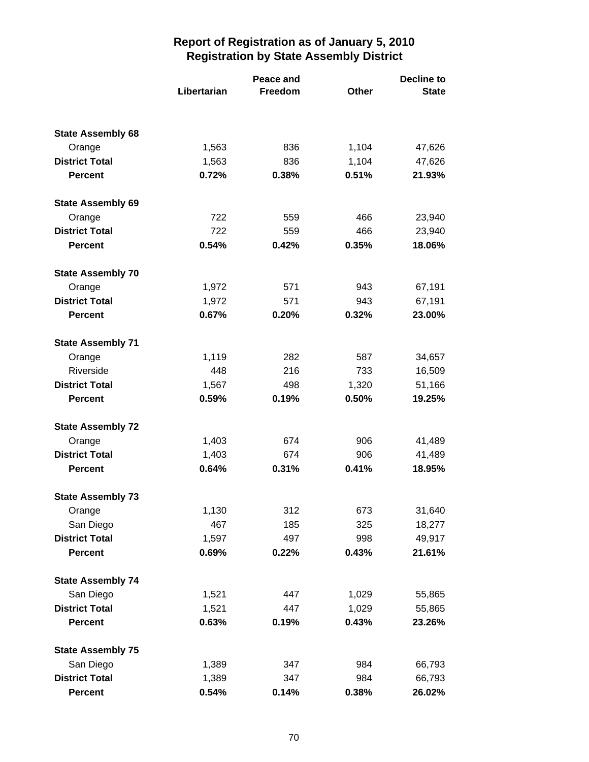|                                         |                | Peace and    |                | Decline to       |
|-----------------------------------------|----------------|--------------|----------------|------------------|
|                                         | Libertarian    | Freedom      | Other          | <b>State</b>     |
|                                         |                |              |                |                  |
| <b>State Assembly 68</b>                |                |              |                |                  |
| Orange                                  | 1,563          | 836          | 1,104          | 47,626           |
| <b>District Total</b><br><b>Percent</b> | 1,563<br>0.72% | 836<br>0.38% | 1,104<br>0.51% | 47,626<br>21.93% |
|                                         |                |              |                |                  |
| <b>State Assembly 69</b>                |                |              |                |                  |
| Orange                                  | 722            | 559          | 466            | 23,940           |
| <b>District Total</b>                   | 722            | 559          | 466            | 23,940           |
| <b>Percent</b>                          | 0.54%          | 0.42%        | 0.35%          | 18.06%           |
| <b>State Assembly 70</b>                |                |              |                |                  |
| Orange                                  | 1,972          | 571          | 943            | 67,191           |
| <b>District Total</b>                   | 1,972          | 571          | 943            | 67,191           |
| <b>Percent</b>                          | 0.67%          | 0.20%        | 0.32%          | 23.00%           |
| <b>State Assembly 71</b>                |                |              |                |                  |
| Orange                                  | 1,119          | 282          | 587            | 34,657           |
| Riverside                               | 448            | 216          | 733            | 16,509           |
| <b>District Total</b>                   | 1,567          | 498          | 1,320          | 51,166           |
| <b>Percent</b>                          | 0.59%          | 0.19%        | 0.50%          | 19.25%           |
| <b>State Assembly 72</b>                |                |              |                |                  |
| Orange                                  | 1,403          | 674          | 906            | 41,489           |
| <b>District Total</b>                   | 1,403          | 674          | 906            | 41,489           |
| <b>Percent</b>                          | 0.64%          | 0.31%        | 0.41%          | 18.95%           |
| <b>State Assembly 73</b>                |                |              |                |                  |
| Orange                                  | 1,130          | 312          | 673            | 31,640           |
| San Diego                               | 467            | 185          | 325            | 18,277           |
| <b>District Total</b>                   | 1,597          | 497          | 998            | 49,917           |
| <b>Percent</b>                          | 0.69%          | 0.22%        | 0.43%          | 21.61%           |
| <b>State Assembly 74</b>                |                |              |                |                  |
| San Diego                               | 1,521          | 447          | 1,029          | 55,865           |
| <b>District Total</b>                   | 1,521          | 447          | 1,029          | 55,865           |
| <b>Percent</b>                          | 0.63%          | 0.19%        | 0.43%          | 23.26%           |
| <b>State Assembly 75</b>                |                |              |                |                  |
| San Diego                               | 1,389          | 347          | 984            | 66,793           |
| <b>District Total</b>                   | 1,389          | 347          | 984            | 66,793           |
| <b>Percent</b>                          | 0.54%          | 0.14%        | 0.38%          | 26.02%           |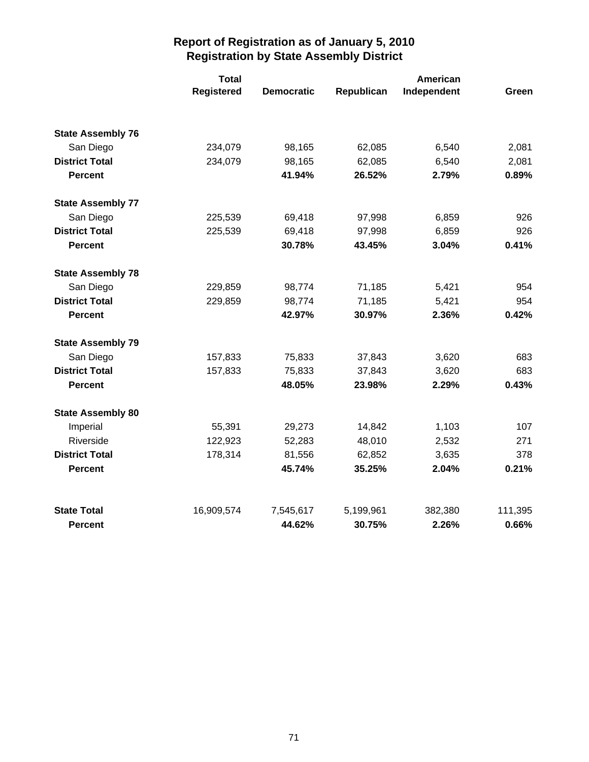|                          | <b>Total</b> |                   |            | <b>American</b> |         |  |
|--------------------------|--------------|-------------------|------------|-----------------|---------|--|
|                          | Registered   | <b>Democratic</b> | Republican | Independent     | Green   |  |
| <b>State Assembly 76</b> |              |                   |            |                 |         |  |
| San Diego                | 234,079      | 98,165            | 62,085     | 6,540           | 2,081   |  |
| <b>District Total</b>    | 234,079      | 98,165            | 62,085     | 6,540           | 2,081   |  |
| <b>Percent</b>           |              | 41.94%            | 26.52%     | 2.79%           | 0.89%   |  |
| <b>State Assembly 77</b> |              |                   |            |                 |         |  |
| San Diego                | 225,539      | 69,418            | 97,998     | 6,859           | 926     |  |
| <b>District Total</b>    | 225,539      | 69,418            | 97,998     | 6,859           | 926     |  |
| <b>Percent</b>           |              | 30.78%            | 43.45%     | 3.04%           | 0.41%   |  |
| <b>State Assembly 78</b> |              |                   |            |                 |         |  |
| San Diego                | 229,859      | 98,774            | 71,185     | 5,421           | 954     |  |
| <b>District Total</b>    | 229,859      | 98,774            | 71,185     | 5,421           | 954     |  |
| <b>Percent</b>           |              | 42.97%            | 30.97%     | 2.36%           | 0.42%   |  |
| <b>State Assembly 79</b> |              |                   |            |                 |         |  |
| San Diego                | 157,833      | 75,833            | 37,843     | 3,620           | 683     |  |
| <b>District Total</b>    | 157,833      | 75,833            | 37,843     | 3,620           | 683     |  |
| <b>Percent</b>           |              | 48.05%            | 23.98%     | 2.29%           | 0.43%   |  |
| <b>State Assembly 80</b> |              |                   |            |                 |         |  |
| Imperial                 | 55,391       | 29,273            | 14,842     | 1,103           | 107     |  |
| Riverside                | 122,923      | 52,283            | 48,010     | 2,532           | 271     |  |
| <b>District Total</b>    | 178,314      | 81,556            | 62,852     | 3,635           | 378     |  |
| <b>Percent</b>           |              | 45.74%            | 35.25%     | 2.04%           | 0.21%   |  |
| <b>State Total</b>       | 16,909,574   | 7,545,617         | 5,199,961  | 382,380         | 111,395 |  |
| <b>Percent</b>           |              | 44.62%            | 30.75%     | 2.26%           | 0.66%   |  |